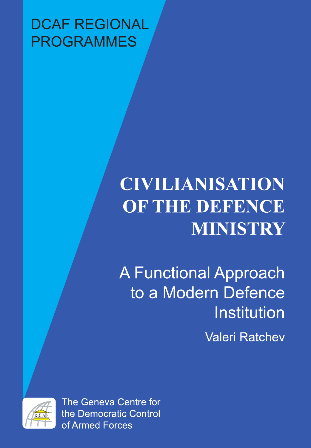## **DCAF REGIONAL PROGRAMMES**

# **CIVILIANISATION** OF THE DEFENCE **MINISTRY**

**A Functional Approach** to a Modern Defence Institution **Valeri Ratchev** 



The Geneva Centre for the Democratic Control of Armed Forces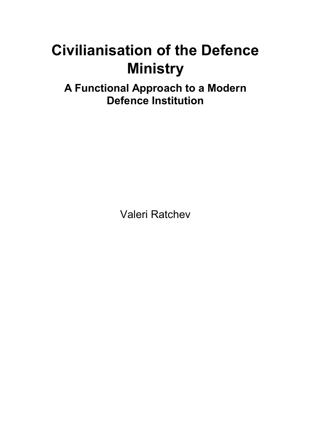## **Civilianisation of the Defence Ministry**

**A Functional Approach to a Modern Defence Institution** 

Valeri Ratchev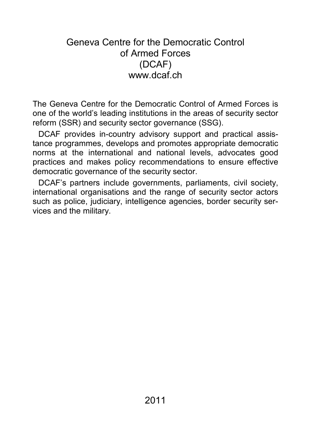## Geneva Centre for the Democratic Control of Armed Forces (DCAF) www.dcaf.ch

The Geneva Centre for the Democratic Control of Armed Forces is one of the world's leading institutions in the areas of security sector reform (SSR) and security sector governance (SSG).

DCAF provides in-country advisory support and practical assistance programmes, develops and promotes appropriate democratic norms at the international and national levels, advocates good practices and makes policy recommendations to ensure effective democratic governance of the security sector.

DCAF's partners include governments, parliaments, civil society, international organisations and the range of security sector actors such as police, judiciary, intelligence agencies, border security services and the military.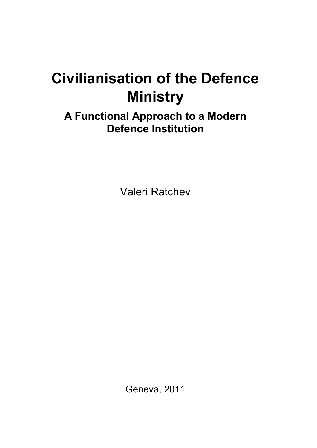## **Civilianisation of the Defence Ministry**

**A Functional Approach to a Modern Defence Institution** 

Valeri Ratchev

Geneva, 2011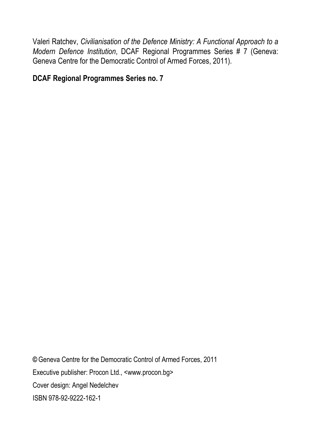Valeri Ratchev, *Civilianisation of the Defence Ministry: A Functional Approach to a Modern Defence Institution*, DCAF Regional Programmes Series # 7 (Geneva: Geneva Centre for the Democratic Control of Armed Forces, 2011).

#### **DCAF Regional Programmes Series no. 7**

**©** Geneva Centre for the Democratic Control of Armed Forces, 2011 Executive publisher: Procon Ltd., <www.procon.bg> Cover design: Angel Nedelchev ISBN 978-92-9222-162-1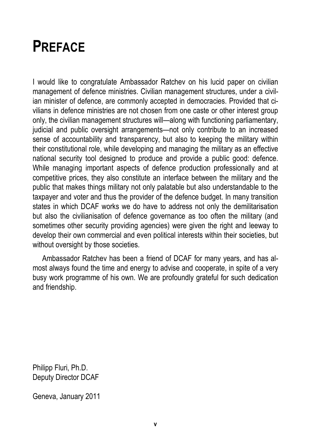## **PREFACE**

I would like to congratulate Ambassador Ratchev on his lucid paper on civilian management of defence ministries. Civilian management structures, under a civilian minister of defence, are commonly accepted in democracies. Provided that civilians in defence ministries are not chosen from one caste or other interest group only, the civilian management structures will—along with functioning parliamentary, judicial and public oversight arrangements—not only contribute to an increased sense of accountability and transparency, but also to keeping the military within their constitutional role, while developing and managing the military as an effective national security tool designed to produce and provide a public good: defence. While managing important aspects of defence production professionally and at competitive prices, they also constitute an interface between the military and the public that makes things military not only palatable but also understandable to the taxpayer and voter and thus the provider of the defence budget. In many transition states in which DCAF works we do have to address not only the demilitarisation but also the civilianisation of defence governance as too often the military (and sometimes other security providing agencies) were given the right and leeway to develop their own commercial and even political interests within their societies, but without oversight by those societies.

Ambassador Ratchev has been a friend of DCAF for many years, and has almost always found the time and energy to advise and cooperate, in spite of a very busy work programme of his own. We are profoundly grateful for such dedication and friendship.

Philipp Fluri, Ph.D. Deputy Director DCAF

Geneva, January 2011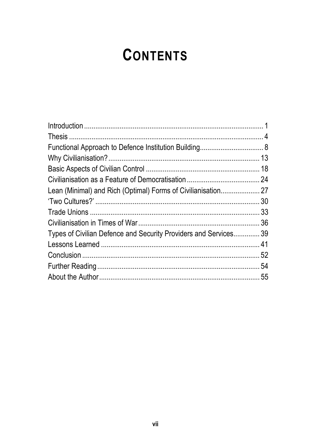## **CONTENTS**

| Types of Civilian Defence and Security Providers and Services 39 |  |
|------------------------------------------------------------------|--|
|                                                                  |  |
|                                                                  |  |
|                                                                  |  |
|                                                                  |  |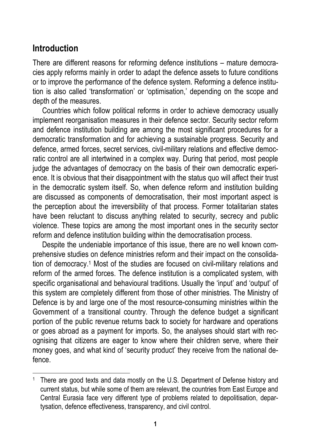## **Introduction**

 $\overline{a}$ 

There are different reasons for reforming defence institutions – mature democracies apply reforms mainly in order to adapt the defence assets to future conditions or to improve the performance of the defence system. Reforming a defence institution is also called 'transformation' or 'optimisation,' depending on the scope and depth of the measures.

Countries which follow political reforms in order to achieve democracy usually implement reorganisation measures in their defence sector. Security sector reform and defence institution building are among the most significant procedures for a democratic transformation and for achieving a sustainable progress. Security and defence, armed forces, secret services, civil-military relations and effective democratic control are all intertwined in a complex way. During that period, most people judge the advantages of democracy on the basis of their own democratic experience. It is obvious that their disappointment with the status quo will affect their trust in the democratic system itself. So, when defence reform and institution building are discussed as components of democratisation, their most important aspect is the perception about the irreversibility of that process. Former totalitarian states have been reluctant to discuss anything related to security, secrecy and public violence. These topics are among the most important ones in the security sector reform and defence institution building within the democratisation process.

Despite the undeniable importance of this issue, there are no well known comprehensive studies on defence ministries reform and their impact on the consolidation of democracy.1 Most of the studies are focused on civil-military relations and reform of the armed forces. The defence institution is a complicated system, with specific organisational and behavioural traditions. Usually the 'input' and 'output' of this system are completely different from those of other ministries. The Ministry of Defence is by and large one of the most resource-consuming ministries within the Government of a transitional country. Through the defence budget a significant portion of the public revenue returns back to society for hardware and operations or goes abroad as a payment for imports. So, the analyses should start with recognising that citizens are eager to know where their children serve, where their money goes, and what kind of 'security product' they receive from the national defence.

<sup>&</sup>lt;sup>1</sup> There are good texts and data mostly on the U.S. Department of Defense history and current status, but while some of them are relevant, the countries from East Europe and Central Eurasia face very different type of problems related to depolitisation, departysation, defence effectiveness, transparency, and civil control.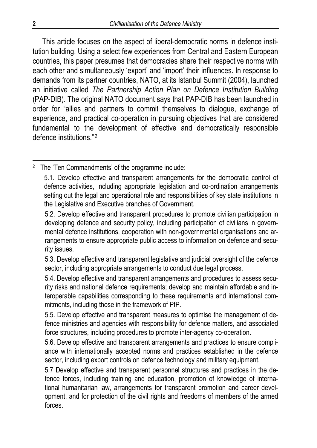This article focuses on the aspect of liberal-democratic norms in defence institution building. Using a select few experiences from Central and Eastern European countries, this paper presumes that democracies share their respective norms with each other and simultaneously 'export' and 'import' their influences. In response to demands from its partner countries, NATO, at its Istanbul Summit (2004), launched an initiative called *The Partnership Action Plan on Defence Institution Building*  (PAP-DIB). The original NATO document says that PAP-DIB has been launched in order for "allies and partners to commit themselves to dialogue, exchange of experience, and practical co-operation in pursuing objectives that are considered fundamental to the development of effective and democratically responsible defence institutions." <sup>2</sup>

<sup>2</sup> The 'Ten Commandments' of the programme include:

<sup>5.1.</sup> Develop effective and transparent arrangements for the democratic control of defence activities, including appropriate legislation and co-ordination arrangements setting out the legal and operational role and responsibilities of key state institutions in the Legislative and Executive branches of Government.

<sup>5.2.</sup> Develop effective and transparent procedures to promote civilian participation in developing defence and security policy, including participation of civilians in governmental defence institutions, cooperation with non-governmental organisations and arrangements to ensure appropriate public access to information on defence and security issues.

<sup>5.3.</sup> Develop effective and transparent legislative and judicial oversight of the defence sector, including appropriate arrangements to conduct due legal process.

<sup>5.4.</sup> Develop effective and transparent arrangements and procedures to assess security risks and national defence requirements; develop and maintain affordable and interoperable capabilities corresponding to these requirements and international commitments, including those in the framework of PfP.

<sup>5.5.</sup> Develop effective and transparent measures to optimise the management of defence ministries and agencies with responsibility for defence matters, and associated force structures, including procedures to promote inter-agency co-operation.

<sup>5.6.</sup> Develop effective and transparent arrangements and practices to ensure compliance with internationally accepted norms and practices established in the defence sector, including export controls on defence technology and military equipment.

<sup>5.7</sup> Develop effective and transparent personnel structures and practices in the defence forces, including training and education, promotion of knowledge of international humanitarian law, arrangements for transparent promotion and career development, and for protection of the civil rights and freedoms of members of the armed forces.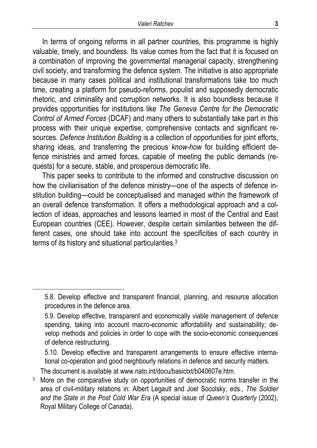In terms of ongoing reforms in all partner countries, this programme is highly valuable, timely, and boundless. Its value comes from the fact that it is focused on a combination of improving the governmental managerial capacity, strengthening civil society, and transforming the defence system. The initiative is also appropriate because in many cases political and institutional transformations take too much time, creating a platform for pseudo-reforms, populist and supposedly democratic rhetoric, and criminality and corruption networks. It is also boundless because it provides opportunities for institutions like *The Geneva Centre for the Democratic Control of Armed Forces* (DCAF) and many others to substantially take part in this process with their unique expertise, comprehensive contacts and significant resources. *Defence Institution Building* is a collection of opportunities for joint efforts, sharing ideas, and transferring the precious *know-how* for building efficient defence ministries and armed forces, capable of meeting the public demands (requests) for a secure, stable, and prosperous democratic life.

This paper seeks to contribute to the informed and constructive discussion on how the civilianisation of the defence ministry—one of the aspects of defence institution building—could be conceptualised and managed within the framework of an overall defence transformation. It offers a methodological approach and a collection of ideas, approaches and lessons learned in most of the Central and East European countries (CEE). However, despite certain similarities between the different cases, one should take into account the specificities of each country in terms of its history and situational particularities.<sup>3</sup>

The document is available at www.nato.int/docu/basictxt/b040607e.htm.

l

<sup>5.8.</sup> Develop effective and transparent financial, planning, and resource allocation procedures in the defence area.

<sup>5.9.</sup> Develop effective, transparent and economically viable management of defence spending, taking into account macro-economic affordability and sustainability; develop methods and policies in order to cope with the socio-economic consequences of defence restructuring.

<sup>5.10.</sup> Develop effective and transparent arrangements to ensure effective international co-operation and good neighbourly relations in defence and security matters.

More on the comparative study on opportunities of democratic norms transfer in the area of civil-military relations in: Albert Legault and Joel Socolsky, eds., *The Soldier and the State in the Post Cold War Era* (A special issue of *Queen's Quarterly* (2002), Royal Military College of Canada).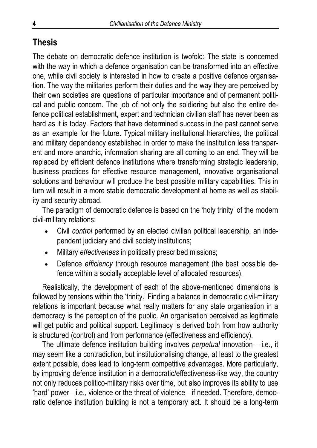## **Thesis**

The debate on democratic defence institution is twofold: The state is concerned with the way in which a defence organisation can be transformed into an effective one, while civil society is interested in how to create a positive defence organisation. The way the militaries perform their duties and the way they are perceived by their own societies are questions of particular importance and of permanent political and public concern. The job of not only the soldiering but also the entire defence political establishment, expert and technician civilian staff has never been as hard as it is today. Factors that have determined success in the past cannot serve as an example for the future. Typical military institutional hierarchies, the political and military dependency established in order to make the institution less transparent and more anarchic, information sharing are all coming to an end. They will be replaced by efficient defence institutions where transforming strategic leadership, business practices for effective resource management, innovative organisational solutions and behaviour will produce the best possible military capabilities. This in turn will result in a more stable democratic development at home as well as stability and security abroad.

The paradigm of democratic defence is based on the 'holy trinity' of the modern civil-military relations:

- Civil *control* performed by an elected civilian political leadership, an independent judiciary and civil society institutions;
- Military *effectiveness* in politically prescribed missions;
- Defence *efficiency* through resource management (the best possible defence within a socially acceptable level of allocated resources).

Realistically, the development of each of the above-mentioned dimensions is followed by tensions within the 'trinity.' Finding a balance in democratic civil-military relations is important because what really matters for any state organisation in a democracy is the perception of the public. An organisation perceived as legitimate will get public and political support. Legitimacy is derived both from how authority is structured (control) and from performance (effectiveness and efficiency).

The ultimate defence institution building involves *perpetual* innovation – i.e., it may seem like a contradiction, but institutionalising change, at least to the greatest extent possible, does lead to long-term competitive advantages. More particularly, by improving defence institution in a democratic/effectiveness-like way, the country not only reduces politico-military risks over time, but also improves its ability to use 'hard' power—i.e., violence or the threat of violence—if needed. Therefore, democratic defence institution building is not a temporary act. It should be a long-term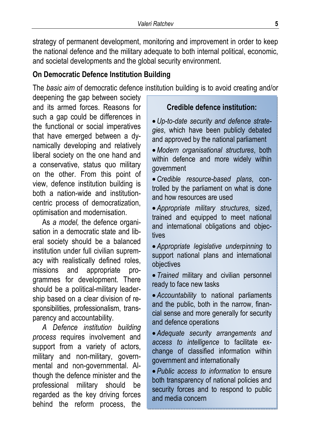strategy of permanent development, monitoring and improvement in order to keep the national defence and the military adequate to both internal political, economic, and societal developments and the global security environment.

## **On Democratic Defence Institution Building**

The *basic aim* of democratic defence institution building is to avoid creating and/or

deepening the gap between society and its armed forces. Reasons for such a gap could be differences in the functional or social imperatives that have emerged between a dynamically developing and relatively liberal society on the one hand and a conservative, status quo military on the other. From this point of view, defence institution building is both a nation-wide and institutioncentric process of democratization, optimisation and modernisation.

As *a model,* the defence organisation in a democratic state and liberal society should be a balanced institution under full civilian supremacy with realistically defined roles, missions and appropriate programmes for development. There should be a political-military leadership based on a clear division of responsibilities, professionalism, transparency and accountability.

*A Defence institution building process* requires involvement and support from a variety of actors, military and non-military, governmental and non-governmental. Although the defence minister and the professional military should be regarded as the key driving forces behind the reform process, the

**Credible defence institution:** 

•*Up-to-date security and defence strategies*, which have been publicly debated and approved by the national parliament

•*Modern organisational structures*, both within defence and more widely within government

•*Credible resource-based plans*, controlled by the parliament on what is done and how resources are used

• *Appropriate military structures*, sized, trained and equipped to meet national and international obligations and objectives

• *Appropriate legislative underpinning* to support national plans and international objectives

• *Trained* military and civilian personnel ready to face new tasks

• *Accountability* to national parliaments and the public, both in the narrow, financial sense and more generally for security and defence operations

• *Adequate security arrangements and access to intelligence* to facilitate exchange of classified information within government and internationally

• *Public access to information* to ensure both transparency of national policies and security forces and to respond to public and media concern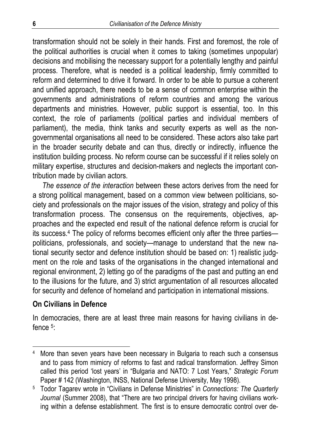transformation should not be solely in their hands. First and foremost, the role of the political authorities is crucial when it comes to taking (sometimes unpopular) decisions and mobilising the necessary support for a potentially lengthy and painful process. Therefore, what is needed is a political leadership, firmly committed to reform and determined to drive it forward. In order to be able to pursue a coherent and unified approach, there needs to be a sense of common enterprise within the governments and administrations of reform countries and among the various departments and ministries. However, public support is essential, too. In this context, the role of parliaments (political parties and individual members of parliament), the media, think tanks and security experts as well as the nongovernmental organisations all need to be considered. These actors also take part in the broader security debate and can thus, directly or indirectly, influence the institution building process. No reform course can be successful if it relies solely on military expertise, structures and decision-makers and neglects the important contribution made by civilian actors.

*The essence of the interaction* between these actors derives from the need for a strong political management, based on a common view between politicians, society and professionals on the major issues of the vision, strategy and policy of this transformation process. The consensus on the requirements, objectives, approaches and the expected end result of the national defence reform is crucial for its success.4 The policy of reforms becomes efficient only after the three parties politicians, professionals, and society—manage to understand that the new national security sector and defence institution should be based on: 1) realistic judgment on the role and tasks of the organisations in the changed international and regional environment, 2) letting go of the paradigms of the past and putting an end to the illusions for the future, and 3) strict argumentation of all resources allocated for security and defence of homeland and participation in international missions.

#### **On Civilians in Defence**

 $\overline{a}$ 

In democracies, there are at least three main reasons for having civilians in defence  $5$ .

<sup>4</sup> More than seven years have been necessary in Bulgaria to reach such a consensus and to pass from mimicry of reforms to fast and radical transformation. Jeffrey Simon called this period 'lost years' in "Bulgaria and NATO: 7 Lost Years," *Strategic Forum* Paper # 142 (Washington, INSS, National Defense University, May 1998).

<sup>5</sup> Todor Tagarev wrote in "Civilians in Defense Ministries" in *Connections: The Quarterly*  Journal (Summer 2008), that "There are two principal drivers for having civilians working within a defense establishment. The first is to ensure democratic control over de-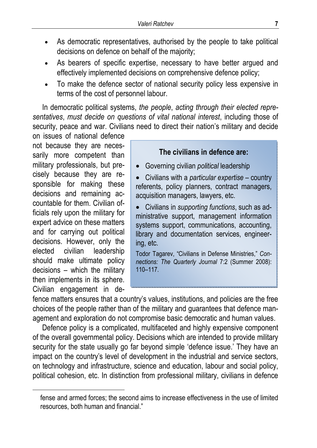- As democratic representatives, authorised by the people to take political decisions on defence on behalf of the majority;
- As bearers of specific expertise, necessary to have better argued and effectively implemented decisions on comprehensive defence policy;
- To make the defence sector of national security policy less expensive in terms of the cost of personnel labour.

In democratic political systems, *the people*, *acting through their elected representatives*, *must decide on questions of vital national interest*, including those of security, peace and war. Civilians need to direct their nation's military and decide

on issues of national defence not because they are necessarily more competent than military professionals, but precisely because they are responsible for making these decisions and remaining accountable for them. Civilian officials rely upon the military for expert advice on these matters and for carrying out political decisions. However, only the elected civilian leadership should make ultimate policy decisions – which the military then implements in its sphere. Civilian engagement in de-

 $\overline{\phantom{a}}$ 

#### **The civilians in defence are:**

- Governing civilian *political* leadership
- Civilians with a *particular expertise* country referents, policy planners, contract managers, acquisition managers, lawyers, etc.
- Civilians in *supporting functions*, such as administrative support, management information systems support, communications, accounting, library and documentation services, engineering, etc.

Todor Tagarev, "Civilians in Defense Ministries," *Connections: The Quarterly Journal* 7:2 (Summer 2008): 110–117.

fence matters ensures that a country's values, institutions, and policies are the free choices of the people rather than of the military and guarantees that defence management and exploration do not compromise basic democratic and human values.

Defence policy is a complicated, multifaceted and highly expensive component of the overall governmental policy. Decisions which are intended to provide military security for the state usually go far beyond simple 'defence issue.' They have an impact on the country's level of development in the industrial and service sectors, on technology and infrastructure, science and education, labour and social policy, political cohesion, etc. In distinction from professional military, civilians in defence

fense and armed forces; the second aims to increase effectiveness in the use of limited resources, both human and financial."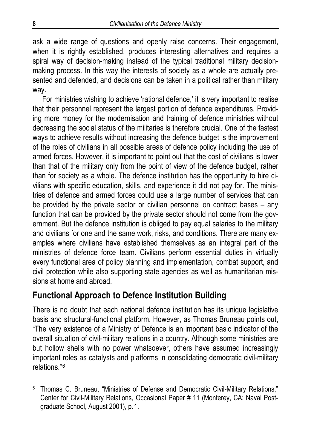ask a wide range of questions and openly raise concerns. Their engagement, when it is rightly established, produces interesting alternatives and requires a spiral way of decision-making instead of the typical traditional military decisionmaking process. In this way the interests of society as a whole are actually presented and defended, and decisions can be taken in a political rather than military way.

For ministries wishing to achieve 'rational defence,' it is very important to realise that their personnel represent the largest portion of defence expenditures. Providing more money for the modernisation and training of defence ministries without decreasing the social status of the militaries is therefore crucial. One of the fastest ways to achieve results without increasing the defence budget is the improvement of the roles of civilians in all possible areas of defence policy including the use of armed forces. However, it is important to point out that the cost of civilians is lower than that of the military only from the point of view of the defence budget, rather than for society as a whole. The defence institution has the opportunity to hire civilians with specific education, skills, and experience it did not pay for. The ministries of defence and armed forces could use a large number of services that can be provided by the private sector or civilian personnel on contract bases – any function that can be provided by the private sector should not come from the government. But the defence institution is obliged to pay equal salaries to the military and civilians for one and the same work, risks, and conditions. There are many examples where civilians have established themselves as an integral part of the ministries of defence force team. Civilians perform essential duties in virtually every functional area of policy planning and implementation, combat support, and civil protection while also supporting state agencies as well as humanitarian missions at home and abroad.

## **Functional Approach to Defence Institution Building**

There is no doubt that each national defence institution has its unique legislative basis and structural-functional platform. However, as Thomas Bruneau points out, "The very existence of a Ministry of Defence is an important basic indicator of the overall situation of civil-military relations in a country. Although some ministries are but hollow shells with no power whatsoever, others have assumed increasingly important roles as catalysts and platforms in consolidating democratic civil-military relations."6

<sup>&</sup>lt;sup>6</sup> Thomas C. Bruneau, "Ministries of Defense and Democratic Civil-Military Relations," Center for Civil-Military Relations, Occasional Paper # 11 (Monterey, CA: Naval Postgraduate School, August 2001), p.1.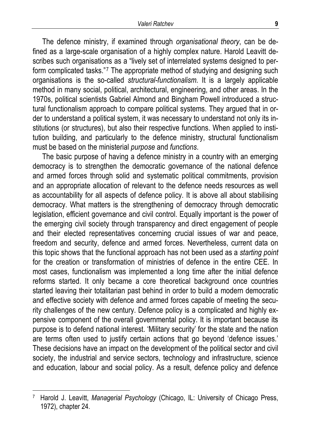The defence ministry, if examined through *organisational theory*, can be defined as a large-scale organisation of a highly complex nature. Harold Leavitt describes such organisations as a "lively set of interrelated systems designed to perform complicated tasks."<sup>7</sup> The appropriate method of studying and designing such organisations is the so-called *structural-functionalism.* It is a largely applicable method in many social, political, architectural, engineering, and other areas. In the 1970s, political scientists Gabriel Almond and Bingham Powell introduced a structural functionalism approach to compare political systems. They argued that in order to understand a political system, it was necessary to understand not only its institutions (or structures), but also their respective functions. When applied to institution building, and particularly to the defence ministry, structural functionalism must be based on the ministerial *purpose* and *functions*.

The basic purpose of having a defence ministry in a country with an emerging democracy is to strengthen the democratic governance of the national defence and armed forces through solid and systematic political commitments, provision and an appropriate allocation of relevant to the defence needs resources as well as accountability for all aspects of defence policy. It is above all about stabilising democracy. What matters is the strengthening of democracy through democratic legislation, efficient governance and civil control. Equally important is the power of the emerging civil society through transparency and direct engagement of people and their elected representatives concerning crucial issues of war and peace, freedom and security, defence and armed forces. Nevertheless, current data on this topic shows that the functional approach has not been used as a *starting point* for the creation or transformation of ministries of defence in the entire CEE. In most cases, functionalism was implemented a long time after the initial defence reforms started. It only became a core theoretical background once countries started leaving their totalitarian past behind in order to build a modern democratic and effective society with defence and armed forces capable of meeting the security challenges of the new century. Defence policy is a complicated and highly expensive component of the overall governmental policy. It is important because its purpose is to defend national interest. 'Military security' for the state and the nation are terms often used to justify certain actions that go beyond 'defence issues.' These decisions have an impact on the development of the political sector and civil society, the industrial and service sectors, technology and infrastructure, science and education, labour and social policy. As a result, defence policy and defence

<sup>7</sup> Harold J. Leavitt, *Managerial Psychology* (Chicago, IL: University of Chicago Press, 1972), chapter 24.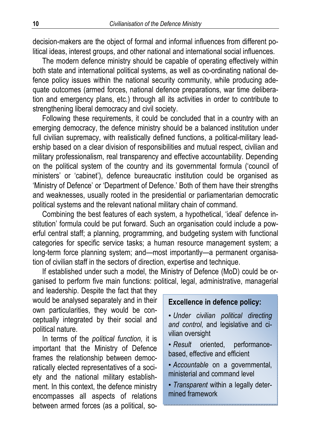decision-makers are the object of formal and informal influences from different political ideas, interest groups, and other national and international social influences.

The modern defence ministry should be capable of operating effectively within both state and international political systems, as well as co-ordinating national defence policy issues within the national security community, while producing adequate outcomes (armed forces, national defence preparations, war time deliberation and emergency plans, etc.) through all its activities in order to contribute to strengthening liberal democracy and civil society.

Following these requirements, it could be concluded that in a country with an emerging democracy, the defence ministry should be a balanced institution under full civilian supremacy, with realistically defined functions, a political-military leadership based on a clear division of responsibilities and mutual respect, civilian and military professionalism, real transparency and effective accountability. Depending on the political system of the country and its governmental formula ('council of ministers' or 'cabinet'), defence bureaucratic institution could be organised as 'Ministry of Defence' or 'Department of Defence.' Both of them have their strengths and weaknesses, usually rooted in the presidential or parliamentarian democratic political systems and the relevant national military chain of command.

Combining the best features of each system, a hypothetical, 'ideal' defence institution' formula could be put forward. Such an organisation could include a powerful central staff; a planning, programming, and budgeting system with functional categories for specific service tasks; a human resource management system; a long-term force planning system; and—most importantly—a permanent organisation of civilian staff in the sectors of direction, expertise and technique.

If established under such a model, the Ministry of Defence (MoD) could be organised to perform five main functions: political, legal, administrative, managerial

and leadership. Despite the fact that they would be analysed separately and in their own particularities, they would be conceptually integrated by their social and political nature.

In terms of the *political function,* it is important that the Ministry of Defence frames the relationship between democratically elected representatives of a society and the national military establishment. In this context, the defence ministry encompasses all aspects of relations between armed forces (as a political, so-

#### **Excellence in defence policy:**

• *Under civilian political directing and control*, and legislative and civilian oversight

- *Result* oriented, performancebased, effective and efficient
- *Accountable* on a governmental, ministerial and command level
- *Transparent* within a legally determined framework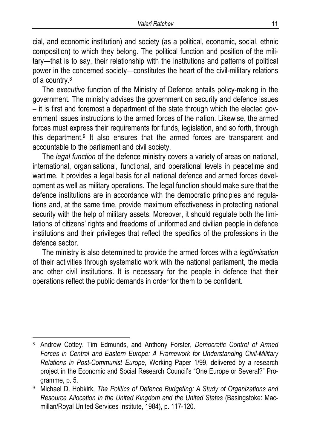cial, and economic institution) and society (as a political, economic, social, ethnic composition) to which they belong. The political function and position of the military—that is to say, their relationship with the institutions and patterns of political power in the concerned society—constitutes the heart of the civil-military relations of a country.8

The *executive* function of the Ministry of Defence entails policy-making in the government. The ministry advises the government on security and defence issues – it is first and foremost a department of the state through which the elected government issues instructions to the armed forces of the nation. Likewise, the armed forces must express their requirements for funds, legislation, and so forth, through this department.9 It also ensures that the armed forces are transparent and accountable to the parliament and civil society.

The *legal function* of the defence ministry covers a variety of areas on national, international, organisational, functional, and operational levels in peacetime and wartime. It provides a legal basis for all national defence and armed forces development as well as military operations. The legal function should make sure that the defence institutions are in accordance with the democratic principles and regulations and, at the same time, provide maximum effectiveness in protecting national security with the help of military assets. Moreover, it should regulate both the limitations of citizens' rights and freedoms of uniformed and civilian people in defence institutions and their privileges that reflect the specifics of the professions in the defence sector.

The ministry is also determined to provide the armed forces with a *legitimisation* of their activities through systematic work with the national parliament, the media and other civil institutions. It is necessary for the people in defence that their operations reflect the public demands in order for them to be confident.

<sup>8</sup> Andrew Cottey, Tim Edmunds, and Anthony Forster, *Democratic Control of Armed Forces in Central and Eastern Europe: A Framework for Understanding Civil-Military Relations in Post-Communist Europe*, Working Paper 1/99, delivered by a research project in the Economic and Social Research Council's "One Europe or Several?" Programme, p. 5.

<sup>9</sup> Michael D. Hobkirk, *The Politics of Defence Budgeting: A Study of Organizations and Resource Allocation in the United Kingdom and the United States* (Basingstoke: Macmillan/Royal United Services Institute, 1984), p. 117-120.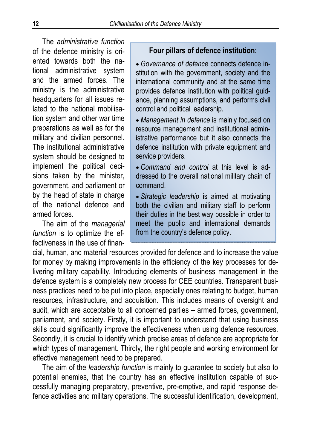The *administrative function*  of the defence ministry is oriented towards both the national administrative system and the armed forces. The ministry is the administrative headquarters for all issues related to the national mobilisation system and other war time preparations as well as for the military and civilian personnel. The institutional administrative system should be designed to implement the political decisions taken by the minister, government, and parliament or by the head of state in charge of the national defence and armed forces.

The aim of the *managerial function* is to optimize the effectiveness in the use of finan-

#### **Four pillars of defence institution:**

• *Governance of defence* connects defence institution with the government, society and the international community and at the same time provides defence institution with political guidance, planning assumptions, and performs civil control and political leadership.

• *Management in defence* is mainly focused on resource management and institutional administrative performance but it also connects the defence institution with private equipment and service providers.

• *Command and control* at this level is addressed to the overall national military chain of command.

• *Strategic leadership* is aimed at motivating both the civilian and military staff to perform their duties in the best way possible in order to meet the public and international demands from the country's defence policy.

cial, human, and material resources provided for defence and to increase the value for money by making improvements in the efficiency of the key processes for delivering military capability. Introducing elements of business management in the defence system is a completely new process for CEE countries. Transparent business practices need to be put into place, especially ones relating to budget, human resources, infrastructure, and acquisition. This includes means of oversight and audit, which are acceptable to all concerned parties – armed forces, government, parliament, and society. Firstly, it is important to understand that using business skills could significantly improve the effectiveness when using defence resources. Secondly, it is crucial to identify which precise areas of defence are appropriate for which types of management. Thirdly, the right people and working environment for effective management need to be prepared.

The aim of the *leadership function* is mainly to guarantee to society but also to potential enemies, that the country has an effective institution capable of successfully managing preparatory, preventive, pre-emptive, and rapid response defence activities and military operations. The successful identification, development,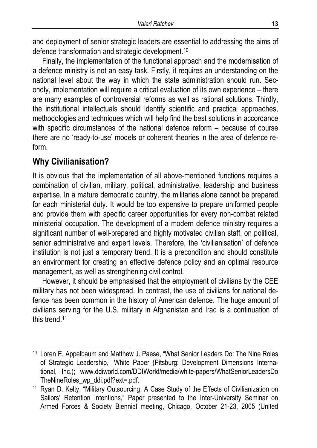and deployment of senior strategic leaders are essential to addressing the aims of defence transformation and strategic development.10

Finally, the implementation of the functional approach and the modernisation of a defence ministry is not an easy task. Firstly, it requires an understanding on the national level about the way in which the state administration should run. Secondly, implementation will require a critical evaluation of its own experience – there are many examples of controversial reforms as well as rational solutions. Thirdly, the institutional intellectuals should identify scientific and practical approaches, methodologies and techniques which will help find the best solutions in accordance with specific circumstances of the national defence reform – because of course there are no 'ready-to-use' models or coherent theories in the area of defence reform.

## **Why Civilianisation?**

 $\overline{a}$ 

It is obvious that the implementation of all above-mentioned functions requires a combination of civilian, military, political, administrative, leadership and business expertise. In a mature democratic country, the militaries alone cannot be prepared for each ministerial duty. It would be too expensive to prepare uniformed people and provide them with specific career opportunities for every non-combat related ministerial occupation. The development of a modern defence ministry requires a significant number of well-prepared and highly motivated civilian staff, on political, senior administrative and expert levels. Therefore, the 'civilianisation' of defence institution is not just a temporary trend. It is a precondition and should constitute an environment for creating an effective defence policy and an optimal resource management, as well as strengthening civil control.

However, it should be emphasised that the employment of civilians by the CEE military has not been widespread. In contrast, the use of civilians for national defence has been common in the history of American defence. The huge amount of civilians serving for the U.S. military in Afghanistan and Iraq is a continuation of this trend.11

<sup>10</sup> Loren E. Appelbaum and Matthew J. Paese, "What Senior Leaders Do: The Nine Roles of Strategic Leadership," White Paper (Pitsburg: Development Dimensions International, Inc.); www.ddiworld.com/DDIWorld/media/white-papers/WhatSeniorLeadersDo TheNineRoles\_wp\_ddi.pdf?ext=.pdf.

<sup>11</sup> Ryan D. Kelty, "Military Outsourcing: A Case Study of the Effects of Civilianization on Sailors' Retention Intentions," Paper presented to the Inter-University Seminar on Armed Forces & Society Biennial meeting, Chicago, October 21-23, 2005 (United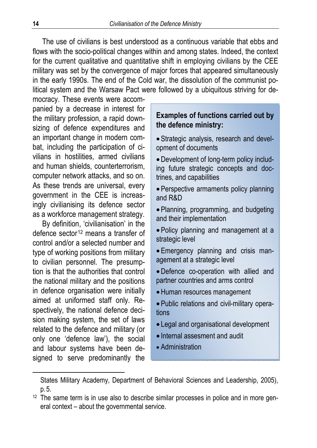The use of civilians is best understood as a continuous variable that ebbs and flows with the socio-political changes within and among states. Indeed, the context for the current qualitative and quantitative shift in employing civilians by the CEE military was set by the convergence of major forces that appeared simultaneously in the early 1990s. The end of the Cold war, the dissolution of the communist political system and the Warsaw Pact were followed by a ubiquitous striving for de-

mocracy. These events were accompanied by a decrease in interest for the military profession, a rapid downsizing of defence expenditures and an important change in modern combat, including the participation of civilians in hostilities, armed civilians and human shields, counterterrorism, computer network attacks, and so on. As these trends are universal, every government in the CEE is increasingly civilianising its defence sector as a workforce management strategy.

By definition, 'civilianisation' in the defence sector<sup>12</sup> means a transfer of control and/or a selected number and type of working positions from military to civilian personnel. The presumption is that the authorities that control the national military and the positions in defence organisation were initially aimed at uniformed staff only. Respectively, the national defence decision making system, the set of laws related to the defence and military (or only one 'defence law'), the social and labour systems have been designed to serve predominantly the

#### **Examples of functions carried out by the defence ministry:**

• Strategic analysis, research and development of documents

•Development of long-term policy including future strategic concepts and doctrines, and capabilities

• Perspective armaments policy planning and R&D

• Planning, programming, and budgeting and their implementation

• Policy planning and management at a strategic level

• Emergency planning and crisis management at a strategic level

•Defence co-operation with allied and partner countries and arms control

- •Human resources management
- Public relations and civil-military operations
- Legal and organisational development
- Internal assesment and audit
- Administration

States Military Academy, Department of Behavioral Sciences and Leadership, 2005), p.5.

 $12$  The same term is in use also to describe similar processes in police and in more general context – about the governmental service.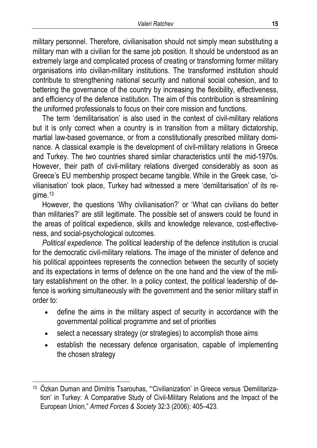military personnel. Therefore, civilianisation should not simply mean substituting a military man with a civilian for the same job position. It should be understood as an extremely large and complicated process of creating or transforming former military organisations into civilian-military institutions. The transformed institution should contribute to strengthening national security and national social cohesion, and to bettering the governance of the country by increasing the flexibility, effectiveness, and efficiency of the defence institution. The aim of this contribution is streamlining the uniformed professionals to focus on their core mission and functions.

The term 'demilitarisation' is also used in the context of civil-military relations but it is only correct when a country is in transition from a military dictatorship, martial law-based governance, or from a constitutionally prescribed military dominance. A classical example is the development of civil-military relations in Greece and Turkey. The two countries shared similar characteristics until the mid-1970s. However, their path of civil-military relations diverged considerably as soon as Greece's EU membership prospect became tangible. While in the Greek case, 'civilianisation' took place, Turkey had witnessed a mere 'demilitarisation' of its regime.13

However, the questions 'Why civilianisation?' or 'What can civilians do better than militaries?' are still legitimate. The possible set of answers could be found in the areas of political expedience, skills and knowledge relevance, cost-effectiveness, and social-psychological outcomes.

*Political expedience.* The political leadership of the defence institution is crucial for the democratic civil-military relations. The image of the minister of defence and his political appointees represents the connection between the security of society and its expectations in terms of defence on the one hand and the view of the military establishment on the other. In a policy context, the political leadership of defence is working simultaneously with the government and the senior military staff in order to:

- define the aims in the military aspect of security in accordance with the governmental political programme and set of priorities
- select a necessary strategy (or strategies) to accomplish those aims
- establish the necessary defence organisation, capable of implementing the chosen strategy

<sup>&</sup>lt;sup>13</sup> Özkan Duman and Dimitris Tsarouhas, "Civilianization' in Greece versus 'Demilitarization' in Turkey: A Comparative Study of Civil-Military Relations and the Impact of the European Union," *Armed Forces & Society* 32:3 (2006): 405–423.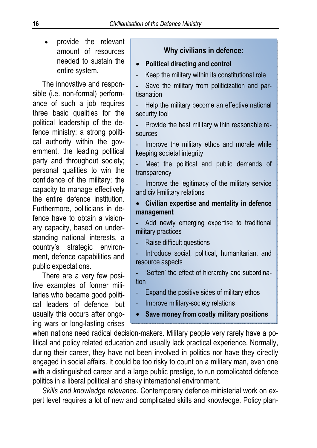• provide the relevant amount of resources needed to sustain the entire system.

The innovative and responsible (i.e. non-formal) performance of such a job requires three basic qualities for the political leadership of the defence ministry: a strong political authority within the government, the leading political party and throughout society; personal qualities to win the confidence of the military; the capacity to manage effectively the entire defence institution. Furthermore, politicians in defence have to obtain a visionary capacity, based on understanding national interests, a country's strategic environment, defence capabilities and public expectations.

There are a very few positive examples of former militaries who became good political leaders of defence, but usually this occurs after ongoing wars or long-lasting crises

### **Why civilians in defence:**

#### • **Political directing and control**

- Keep the military within its constitutional role

Save the military from politicization and partisanation

Help the military become an effective national security tool

- Provide the best military within reasonable resources

Improve the military ethos and morale while keeping societal integrity

Meet the political and public demands of transparency

Improve the legitimacy of the military service and civil-military relations

• **Civilian expertise and mentality in defence management** 

Add newly emerging expertise to traditional military practices

Raise difficult questions

Introduce social, political, humanitarian, and resource aspects

- 'Soften' the effect of hierarchy and subordination

Expand the positive sides of military ethos

- Improve military-society relations
- **Save money from costly military positions**

when nations need radical decision-makers. Military people very rarely have a political and policy related education and usually lack practical experience. Normally, during their career, they have not been involved in politics nor have they directly engaged in social affairs. It could be too risky to count on a military man, even one with a distinguished career and a large public prestige, to run complicated defence politics in a liberal political and shaky international environment.

*Skills and knowledge relevance.* Contemporary defence ministerial work on expert level requires a lot of new and complicated skills and knowledge. Policy plan-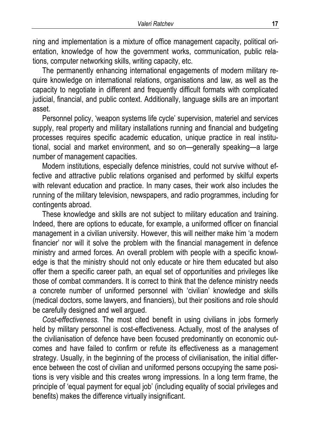ning and implementation is a mixture of office management capacity, political orientation, knowledge of how the government works, communication, public relations, computer networking skills, writing capacity, etc.

The permanently enhancing international engagements of modern military require knowledge on international relations, organisations and law, as well as the capacity to negotiate in different and frequently difficult formats with complicated judicial, financial, and public context. Additionally, language skills are an important asset.

Personnel policy, 'weapon systems life cycle' supervision, materiel and services supply, real property and military installations running and financial and budgeting processes requires specific academic education, unique practice in real institutional, social and market environment, and so on—generally speaking—a large number of management capacities.

Modern institutions, especially defence ministries, could not survive without effective and attractive public relations organised and performed by skilful experts with relevant education and practice. In many cases, their work also includes the running of the military television, newspapers, and radio programmes, including for contingents abroad.

These knowledge and skills are not subject to military education and training. Indeed, there are options to educate, for example, a uniformed officer on financial management in a civilian university. However, this will neither make him 'a modern financier' nor will it solve the problem with the financial management in defence ministry and armed forces. An overall problem with people with a specific knowledge is that the ministry should not only educate or hire them educated but also offer them a specific career path, an equal set of opportunities and privileges like those of combat commanders. It is correct to think that the defence ministry needs a concrete number of uniformed personnel with 'civilian' knowledge and skills (medical doctors, some lawyers, and financiers), but their positions and role should be carefully designed and well argued.

*Cost-effectiveness.* The most cited benefit in using civilians in jobs formerly held by military personnel is cost-effectiveness. Actually, most of the analyses of the civilianisation of defence have been focused predominantly on economic outcomes and have failed to confirm or refute its effectiveness as a management strategy. Usually, in the beginning of the process of civilianisation, the initial difference between the cost of civilian and uniformed persons occupying the same positions is very visible and this creates wrong impressions. In a long term frame, the principle of 'equal payment for equal job' (including equality of social privileges and benefits) makes the difference virtually insignificant.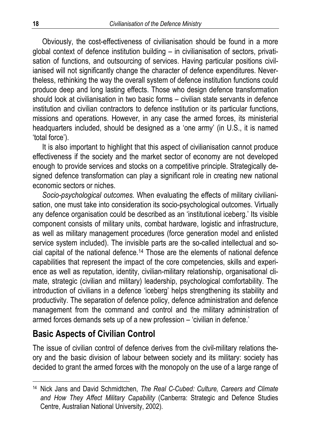Obviously, the cost-effectiveness of civilianisation should be found in a more global context of defence institution building – in civilianisation of sectors, privatisation of functions, and outsourcing of services. Having particular positions civilianised will not significantly change the character of defence expenditures. Nevertheless, rethinking the way the overall system of defence institution functions could produce deep and long lasting effects. Those who design defence transformation should look at civilianisation in two basic forms – civilian state servants in defence institution and civilian contractors to defence institution or its particular functions, missions and operations. However, in any case the armed forces, its ministerial headquarters included, should be designed as a 'one army' (in U.S., it is named 'total force').

It is also important to highlight that this aspect of civilianisation cannot produce effectiveness if the society and the market sector of economy are not developed enough to provide services and stocks on a competitive principle. Strategically designed defence transformation can play a significant role in creating new national economic sectors or niches.

*Socio-psychological outcomes.* When evaluating the effects of military civilianisation, one must take into consideration its socio-psychological outcomes. Virtually any defence organisation could be described as an 'institutional iceberg.' Its visible component consists of military units, combat hardware, logistic and infrastructure, as well as military management procedures (force generation model and enlisted service system included). The invisible parts are the so-called intellectual and social capital of the national defence.<sup>14</sup> Those are the elements of national defence capabilities that represent the impact of the core competencies, skills and experience as well as reputation, identity, civilian-military relationship, organisational climate, strategic (civilian and military) leadership, psychological comfortability. The introduction of civilians in a defence 'iceberg' helps strengthening its stability and productivity. The separation of defence policy, defence administration and defence management from the command and control and the military administration of armed forces demands sets up of a new profession – 'civilian in defence.'

## **Basic Aspects of Civilian Control**

 $\overline{a}$ 

The issue of civilian control of defence derives from the civil-military relations theory and the basic division of labour between society and its military: society has decided to grant the armed forces with the monopoly on the use of a large range of

<sup>14</sup> Nick Jans and David Schmidtchen, *The Real C-Cubed: Culture, Careers and Climate and How They Affect Military Capability* (Canberra: Strategic and Defence Studies Centre, Australian National University, 2002).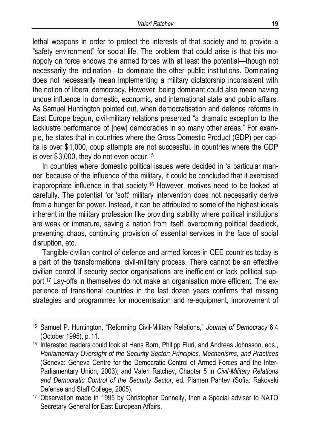lethal weapons in order to protect the interests of that society and to provide a "safety environment" for social life. The problem that could arise is that this monopoly on force endows the armed forces with at least the potential—though not necessarily the inclination—to dominate the other public institutions. Dominating does not necessarily mean implementing a military dictatorship inconsistent with the notion of liberal democracy. However, being dominant could also mean having undue influence in domestic, economic, and international state and public affairs. As Samuel Huntington pointed out, when democratisation and defence reforms in East Europe begun, civil-military relations presented "a dramatic exception to the lacklustre performance of [new] democracies in so many other areas." For example, he states that in countries where the Gross Domestic Product (GDP) per capita is over \$1,000, coup attempts are not successful. In countries where the GDP is over \$3,000, they do not even occur.15

In countries where domestic political issues were decided in 'a particular manner' because of the influence of the military, it could be concluded that it exercised inappropriate influence in that society.16 However, motives need to be looked at carefully. The potential for 'soft' military intervention does not necessarily derive from a hunger for power. Instead, it can be attributed to some of the highest ideals inherent in the military profession like providing stability where political institutions are weak or immature, saving a nation from itself, overcoming political deadlock, preventing chaos, continuing provision of essential services in the face of social disruption, etc.

Tangible civilian control of defence and armed forces in CEE countries today is a part of the transformational civil-military process. There cannot be an effective civilian control if security sector organisations are inefficient or lack political support.17 Lay-offs in themselves do not make an organisation more efficient. The experience of transitional countries in the last dozen years confirms that missing strategies and programmes for modernisation and re-equipment, improvement of

<sup>15</sup> Samuel P. Huntington, "Reforming Civil-Military Relations," *Journal of Democracy* 6:4 (October 1995), p.11.

<sup>16</sup> Interested readers could look at Hans Born, Philipp Fluri, and Andreas Johnsson, eds., *Parliamentary Oversight of the Security Sector: Principles, Mechanisms, and Practices*  (Geneva: Geneva Centre for the Democratic Control of Armed Forces and the Inter-Parliamentary Union, 2003); and Valeri Ratchev, Chapter 5 in *Civil-Military Relations and Democratic Control of the Security Sector*, ed. Plamen Pantev (Sofia: Rakovski Defense and Staff College, 2005).

<sup>17</sup> Observation made in 1995 by Christopher Donnelly, then a Special adviser to NATO Secretary General for East European Affairs.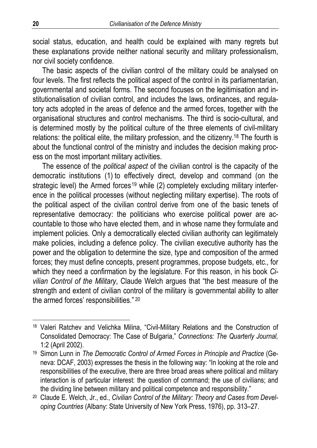social status, education, and health could be explained with many regrets but these explanations provide neither national security and military professionalism, nor civil society confidence.

The basic aspects of the civilian control of the military could be analysed on four levels. The first reflects the political aspect of the control in its parliamentarian, governmental and societal forms. The second focuses on the legitimisation and institutionalisation of civilian control, and includes the laws, ordinances, and regulatory acts adopted in the areas of defence and the armed forces, together with the organisational structures and control mechanisms. The third is socio-cultural, and is determined mostly by the political culture of the three elements of civil-military relations: the political elite, the military profession, and the citizenry.<sup>18</sup> The fourth is about the functional control of the ministry and includes the decision making process on the most important military activities.

The essence of the *political aspect* of the civilian control is the capacity of the democratic institutions (1) to effectively direct, develop and command (on the strategic level) the Armed forces<sup>19</sup> while  $(2)$  completely excluding military interference in the political processes (without neglecting military expertise). The roots of the political aspect of the civilian control derive from one of the basic tenets of representative democracy: the politicians who exercise political power are accountable to those who have elected them, and in whose name they formulate and implement policies. Only a democratically elected civilian authority can legitimately make policies, including a defence policy. The civilian executive authority has the power and the obligation to determine the size, type and composition of the armed forces; they must define concepts, present programmes, propose budgets, etc., for which they need a confirmation by the legislature. For this reason, in his book *Civilian Control of the Military*, Claude Welch argues that "the best measure of the strength and extent of civilian control of the military is governmental ability to alter the armed forces' responsibilities." 20

<sup>&</sup>lt;sup>18</sup> Valeri Ratchev and Velichka Milina, "Civil-Military Relations and the Construction of Consolidated Democracy: The Case of Bulgaria," *Connections: The Quarterly Journal,* 1:2 (April 2002).

<sup>&</sup>lt;sup>19</sup> Simon Lunn in *The Democratic Control of Armed Forces in Principle and Practice (Ge*neva: DCAF, 2003) expresses the thesis in the following way: "In looking at the role and responsibilities of the executive, there are three broad areas where political and military interaction is of particular interest: the question of command; the use of civilians; and the dividing line between military and political competence and responsibility."

<sup>20</sup> Claude E. Welch, Jr., ed., *Civilian Control of the Military: Theory and Cases from Developing Countries* (Albany: State University of New York Press, 1976), pp. 313–27.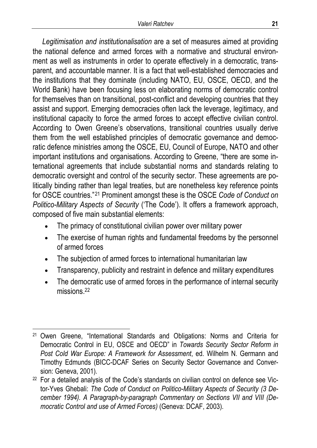*Legitimisation and institutionalisation* are a set of measures aimed at providing the national defence and armed forces with a normative and structural environment as well as instruments in order to operate effectively in a democratic, transparent, and accountable manner. It is a fact that well-established democracies and the institutions that they dominate (including NATO, EU, OSCE, OECD, and the World Bank) have been focusing less on elaborating norms of democratic control for themselves than on transitional, post-conflict and developing countries that they assist and support. Emerging democracies often lack the leverage, legitimacy, and institutional capacity to force the armed forces to accept effective civilian control. According to Owen Greene's observations, transitional countries usually derive them from the well established principles of democratic governance and democratic defence ministries among the OSCE, EU, Council of Europe, NATO and other important institutions and organisations. According to Greene, "there are some international agreements that include substantial norms and standards relating to democratic oversight and control of the security sector. These agreements are politically binding rather than legal treaties, but are nonetheless key reference points for OSCE countries."21 Prominent amongst these is the OSCE *Code of Conduct on Politico-Military Aspects of Security* ('The Code'). It offers a framework approach, composed of five main substantial elements:

- The primacy of constitutional civilian power over military power
- The exercise of human rights and fundamental freedoms by the personnel of armed forces
- The subjection of armed forces to international humanitarian law
- Transparency, publicity and restraint in defence and military expenditures
- The democratic use of armed forces in the performance of internal security missions.<sup>22</sup>

 $\overline{a}$ 21 Owen Greene, "International Standards and Obligations: Norms and Criteria for Democratic Control in EU, OSCE and OECD" in *Towards Security Sector Reform in Post Cold War Europe: A Framework for Assessment*, ed. Wilhelm N. Germann and Timothy Edmunds (BICC-DCAF Series on Security Sector Governance and Conversion: Geneva, 2001).

<sup>&</sup>lt;sup>22</sup> For a detailed analysis of the Code's standards on civilian control on defence see Victor-Yves Ghebali: *The Code of Conduct on Politico-Military Aspects of Security (3 December 1994). A Paragraph-by-paragraph Commentary on Sections VII and VIII (Democratic Control and use of Armed Forces)* (Geneva: DCAF, 2003).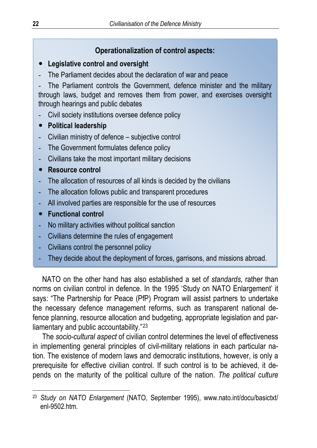### **Operationalization of control aspects:**

#### y **Legislative control and oversight**

- The Parliament decides about the declaration of war and peace

The Parliament controls the Government, defence minister and the military through laws, budget and removes them from power, and exercises oversight through hearings and public debates

- Civil society institutions oversee defence policy
- **•** Political leadership
- Civilian ministry of defence subjective control
- The Government formulates defence policy
- Civilians take the most important military decisions
- **•** Resource control
- The allocation of resources of all kinds is decided by the civilians
- The allocation follows public and transparent procedures
- All involved parties are responsible for the use of resources
- **•** Functional control

 $\overline{a}$ 

- No military activities without political sanction
- Civilians determine the rules of engagement
- Civilians control the personnel policy
- They decide about the deployment of forces, garrisons, and missions abroad.

NATO on the other hand has also established a set of *standards*, rather than norms on civilian control in defence. In the 1995 'Study on NATO Enlargement' it says: "The Partnership for Peace (PfP) Program will assist partners to undertake the necessary defence management reforms, such as transparent national defence planning, resource allocation and budgeting, appropriate legislation and parliamentary and public accountability."<sup>23</sup>

The *socio-cultural aspect* of civilian control determines the level of effectiveness in implementing general principles of civil-military relations in each particular nation. The existence of modern laws and democratic institutions, however, is only a prerequisite for effective civilian control. If such control is to be achieved, it depends on the maturity of the political culture of the nation. *The political culture* 

<sup>23</sup> *Study on NATO Enlargement* (NATO, September 1995), www.nato.int/docu/basictxt/ enl-9502.htm.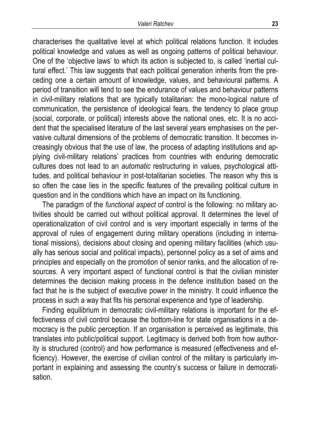characterises the qualitative level at which political relations function. It includes political knowledge and values as well as ongoing patterns of political behaviour. One of the 'objective laws' to which its action is subjected to, is called 'inertial cultural effect.' This law suggests that each political generation inherits from the preceding one a certain amount of knowledge, values, and behavioural patterns. A period of transition will tend to see the endurance of values and behaviour patterns in civil-military relations that are typically totalitarian: the mono-logical nature of communication, the persistence of ideological fears, the tendency to place group (social, corporate, or political) interests above the national ones, etc. It is no accident that the specialised literature of the last several years emphasises on the pervasive cultural dimensions of the problems of democratic transition. It becomes increasingly obvious that the use of law, the process of adapting institutions and applying civil-military relations' practices from countries with enduring democratic cultures does not lead to an *automatic* restructuring in values, psychological attitudes, and political behaviour in post-totalitarian societies. The reason why this is so often the case lies in the specific features of the prevailing political culture in question and in the conditions which have an impact on its functioning.

The paradigm of the *functional aspect* of control is the following: no military activities should be carried out without political approval. It determines the level of operationalization of civil control and is very important especially in terms of the approval of rules of engagement during military operations (including in international missions), decisions about closing and opening military facilities (which usually has serious social and political impacts), personnel policy as a set of aims and principles and especially on the promotion of senior ranks, and the allocation of resources. A very important aspect of functional control is that the civilian minister determines the decision making process in the defence institution based on the fact that he is the subject of executive power in the ministry. It could influence the process in such a way that fits his personal experience and type of leadership.

Finding equilibrium in democratic civil-military relations is important for the effectiveness of civil control because the bottom-line for state organisations in a democracy is the public perception. If an organisation is perceived as legitimate, this translates into public/political support. Legitimacy is derived both from how authority is structured (control) and how performance is measured (effectiveness and efficiency). However, the exercise of civilian control of the military is particularly important in explaining and assessing the country's success or failure in democratisation.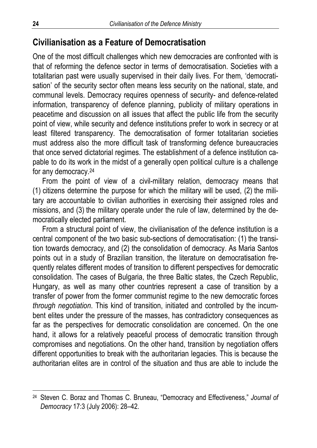## **Civilianisation as a Feature of Democratisation**

One of the most difficult challenges which new democracies are confronted with is that of reforming the defence sector in terms of democratisation. Societies with a totalitarian past were usually supervised in their daily lives. For them, 'democratisation' of the security sector often means less security on the national, state, and communal levels. Democracy requires openness of security- and defence-related information, transparency of defence planning, publicity of military operations in peacetime and discussion on all issues that affect the public life from the security point of view, while security and defence institutions prefer to work in secrecy or at least filtered transparency. The democratisation of former totalitarian societies must address also the more difficult task of transforming defence bureaucracies that once served dictatorial regimes. The establishment of a defence institution capable to do its work in the midst of a generally open political culture is a challenge for any democracy.24

From the point of view of a civil-military relation, democracy means that (1) citizens determine the purpose for which the military will be used, (2) the military are accountable to civilian authorities in exercising their assigned roles and missions, and (3) the military operate under the rule of law, determined by the democratically elected parliament.

From a structural point of view, the civilianisation of the defence institution is a central component of the two basic sub-sections of democratisation: (1) the transition towards democracy, and (2) the consolidation of democracy. As Maria Santos points out in a study of Brazilian transition, the literature on democratisation frequently relates different modes of transition to different perspectives for democratic consolidation. The cases of Bulgaria, the three Baltic states, the Czech Republic, Hungary, as well as many other countries represent a case of transition by a transfer of power from the former communist regime to the new democratic forces *through negotiation*. This kind of transition, initiated and controlled by the incumbent elites under the pressure of the masses, has contradictory consequences as far as the perspectives for democratic consolidation are concerned. On the one hand, it allows for a relatively peaceful process of democratic transition through compromises and negotiations. On the other hand, transition by negotiation offers different opportunities to break with the authoritarian legacies. This is because the authoritarian elites are in control of the situation and thus are able to include the

<sup>24</sup> Steven C. Boraz and Thomas C. Bruneau, "Democracy and Effectiveness," *Journal of Democracy* 17:3 (July 2006): 28–42.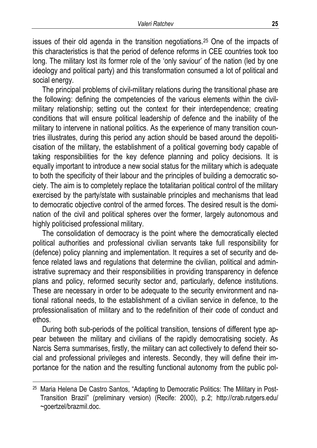issues of their old agenda in the transition negotiations.25 One of the impacts of this characteristics is that the period of defence reforms in CEE countries took too long. The military lost its former role of the 'only saviour' of the nation (led by one ideology and political party) and this transformation consumed a lot of political and social energy.

The principal problems of civil-military relations during the transitional phase are the following: defining the competencies of the various elements within the civilmilitary relationship; setting out the context for their interdependence; creating conditions that will ensure political leadership of defence and the inability of the military to intervene in national politics. As the experience of many transition countries illustrates, during this period any action should be based around the depoliticisation of the military, the establishment of a political governing body capable of taking responsibilities for the key defence planning and policy decisions. It is equally important to introduce a new social status for the military which is adequate to both the specificity of their labour and the principles of building a democratic society. The aim is to completely replace the totalitarian political control of the military exercised by the party/state with sustainable principles and mechanisms that lead to democratic objective control of the armed forces. The desired result is the domination of the civil and political spheres over the former, largely autonomous and highly politicised professional military.

The consolidation of democracy is the point where the democratically elected political authorities and professional civilian servants take full responsibility for (defence) policy planning and implementation. It requires a set of security and defence related laws and regulations that determine the civilian, political and administrative supremacy and their responsibilities in providing transparency in defence plans and policy, reformed security sector and, particularly, defence institutions. These are necessary in order to be adequate to the security environment and national rational needs, to the establishment of a civilian service in defence, to the professionalisation of military and to the redefinition of their code of conduct and ethos.

During both sub-periods of the political transition, tensions of different type appear between the military and civilians of the rapidly democratising society. As Narcis Serra summarises, firstly, the military can act collectively to defend their social and professional privileges and interests. Secondly, they will define their importance for the nation and the resulting functional autonomy from the public pol-

<sup>&</sup>lt;sup>25</sup> Maria Helena De Castro Santos, "Adapting to Democratic Politics: The Military in Post-Transition Brazil" (preliminary version) (Recife: 2000), p.2; http://crab.rutgers.edu/ ~goertzel/brazmil.doc.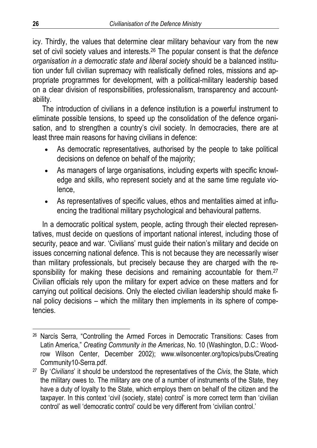icy. Thirdly, the values that determine clear military behaviour vary from the new set of civil society values and interests.26 The popular consent is that the *defence organisation in a democratic state and liberal society* should be a balanced institution under full civilian supremacy with realistically defined roles, missions and appropriate programmes for development, with a political-military leadership based on a clear division of responsibilities, professionalism, transparency and accountability.

The introduction of civilians in a defence institution is a powerful instrument to eliminate possible tensions, to speed up the consolidation of the defence organisation, and to strengthen a country's civil society. In democracies, there are at least three main reasons for having civilians in defence:

- As democratic representatives, authorised by the people to take political decisions on defence on behalf of the majority;
- As managers of large organisations, including experts with specific knowledge and skills, who represent society and at the same time regulate violence,
- As representatives of specific values, ethos and mentalities aimed at influencing the traditional military psychological and behavioural patterns.

In a democratic political system, people, acting through their elected representatives, must decide on questions of important national interest, including those of security, peace and war. 'Civilians' must guide their nation's military and decide on issues concerning national defence. This is not because they are necessarily wiser than military professionals, but precisely because they are charged with the responsibility for making these decisions and remaining accountable for them.<sup>27</sup> Civilian officials rely upon the military for expert advice on these matters and for carrying out political decisions. Only the elected civilian leadership should make final policy decisions – which the military then implements in its sphere of competencies.

<sup>26</sup> Narcís Serra, "Controlling the Armed Forces in Democratic Transitions: Cases from Latin America," *Creating Community in the Americas*, No. 10 (Washington, D.C.: Woodrow Wilson Center, December 2002); www.wilsoncenter.org/topics/pubs/Creating Community10-Serra.pdf.

<sup>27</sup> By '*Civilians*' it should be understood the representatives of the *Civis*, the State, which the military owes to. The military are one of a number of instruments of the State, they have a duty of loyalty to the State, which employs them on behalf of the citizen and the taxpayer. In this context 'civil (society, state) control' is more correct term than 'civilian control' as well 'democratic control' could be very different from 'civilian control.'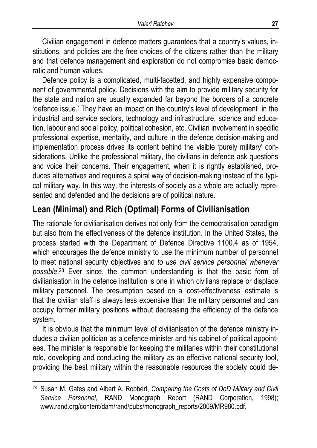Civilian engagement in defence matters guarantees that a country's values, institutions, and policies are the free choices of the citizens rather than the military and that defence management and exploration do not compromise basic democratic and human values.

Defence policy is a complicated, multi-facetted, and highly expensive component of governmental policy. Decisions with the aim to provide military security for the state and nation are usually expanded far beyond the borders of a concrete 'defence issue.' They have an impact on the country's level of development in the industrial and service sectors, technology and infrastructure, science and education, labour and social policy, political cohesion, etc. Civilian involvement in specific professional expertise, mentality, and culture in the defence decision-making and implementation process drives its content behind the visible 'purely military' considerations. Unlike the professional military, the civilians in defence ask questions and voice their concerns. Their engagement, when it is rightly established, produces alternatives and requires a spiral way of decision-making instead of the typical military way. In this way, the interests of society as a whole are actually represented and defended and the decisions are of political nature.

## **Lean (Minimal) and Rich (Optimal) Forms of Civilianisation**

The rationale for civilianisation derives not only from the democratisation paradigm but also from the effectiveness of the defence institution. In the United States, the process started with the Department of Defence Directive 1100.4 as of 1954, which encourages the defence ministry to use the minimum number of personnel to meet national security objectives and *to use civil service personnel whenever possible*. 28 Ever since, the common understanding is that the basic form of civilianisation in the defence institution is one in which civilians replace or displace military personnel. The presumption based on a 'cost-effectiveness' estimate is that the civilian staff is always less expensive than the military personnel and can occupy former military positions without decreasing the efficiency of the defence system.

It is obvious that the minimum level of civilianisation of the defence ministry includes a civilian politician as a defence minister and his cabinet of political appointees. The minister is responsible for keeping the militaries within their constitutional role, developing and conducting the military as an effective national security tool, providing the best military within the reasonable resources the society could de-

<sup>28</sup> Susan M. Gates and Albert A. Robbert, *Comparing the Costs of DoD Military and Civil Service Personnel*, RAND Monograph Report (RAND Corporation, 1998); www.rand.org/content/dam/rand/pubs/monograph\_reports/2009/MR980.pdf.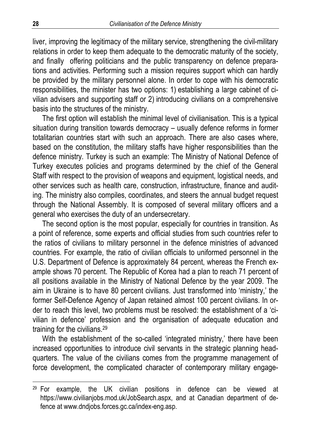liver, improving the legitimacy of the military service, strengthening the civil-military relations in order to keep them adequate to the democratic maturity of the society, and finally offering politicians and the public transparency on defence preparations and activities. Performing such a mission requires support which can hardly be provided by the military personnel alone. In order to cope with his democratic responsibilities, the minister has two options: 1) establishing a large cabinet of civilian advisers and supporting staff or 2) introducing civilians on a comprehensive basis into the structures of the ministry.

The first option will establish the minimal level of civilianisation. This is a typical situation during transition towards democracy – usually defence reforms in former totalitarian countries start with such an approach. There are also cases where, based on the constitution, the military staffs have higher responsibilities than the defence ministry. Turkey is such an example: The Ministry of National Defence of Turkey executes policies and programs determined by the chief of the General Staff with respect to the provision of weapons and equipment, logistical needs, and other services such as health care, construction, infrastructure, finance and auditing. The ministry also compiles, coordinates, and steers the annual budget request through the National Assembly. It is composed of several military officers and a general who exercises the duty of an undersecretary.

The second option is the most popular, especially for countries in transition. As a point of reference, some experts and official studies from such countries refer to the ratios of civilians to military personnel in the defence ministries of advanced countries. For example, the ratio of civilian officials to uniformed personnel in the U.S. Department of Defence is approximately 84 percent, whereas the French example shows 70 percent. The Republic of Korea had a plan to reach 71 percent of all positions available in the Ministry of National Defence by the year 2009. The aim in Ukraine is to have 80 percent civilians. Just transformed into 'ministry,' the former Self-Defence Agency of Japan retained almost 100 percent civilians. In order to reach this level, two problems must be resolved: the establishment of a 'civilian in defence' profession and the organisation of adequate education and training for the civilians.29

With the establishment of the so-called 'integrated ministry,' there have been increased opportunities to introduce civil servants in the strategic planning headquarters. The value of the civilians comes from the programme management of force development, the complicated character of contemporary military engage-

 $29$  For example, the UK civilian positions in defence can be viewed at https://www.civilianjobs.mod.uk/JobSearch.aspx, and at Canadian department of defence at www.dndjobs.forces.gc.ca/index-eng.asp.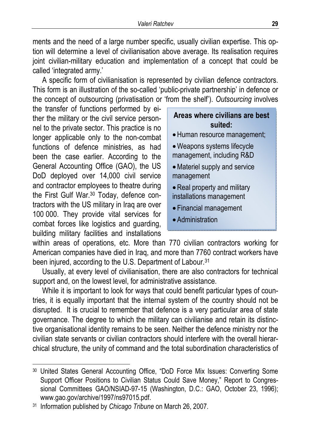ments and the need of a large number specific, usually civilian expertise. This option will determine a level of civilianisation above average. Its realisation requires joint civilian-military education and implementation of a concept that could be called 'integrated army.'

A specific form of civilianisation is represented by civilian defence contractors. This form is an illustration of the so-called 'public-private partnership' in defence or the concept of outsourcing (privatisation or 'from the shelf'). *Outsourcing* involves

the transfer of functions performed by either the military or the civil service personnel to the private sector. This practice is no longer applicable only to the non-combat functions of defence ministries, as had been the case earlier. According to the General Accounting Office (GAO), the US DoD deployed over 14,000 civil service and contractor employees to theatre during the First Gulf War.<sup>30</sup> Today, defence contractors with the US military in Iraq are over 100 000. They provide vital services for combat forces like logistics and guarding, building military facilities and installations

### **Areas where civilians are best suited:**

- •Human resource management;
- •Weapons systems lifecycle management, including R&D
- •Materiel supply and service management
- Real property and military installations management
- Financial management
- Administration

within areas of operations, etc. More than 770 civilian contractors working for American companies have died in Iraq, and more than 7760 contract workers have been injured, according to the U.S. Department of Labour.<sup>31</sup>

Usually, at every level of civilianisation, there are also contractors for technical support and, on the lowest level, for administrative assistance.

While it is important to look for ways that could benefit particular types of countries, it is equally important that the internal system of the country should not be disrupted. It is crucial to remember that defence is a very particular area of state governance. The degree to which the military can civilianise and retain its distinctive organisational identity remains to be seen. Neither the defence ministry nor the civilian state servants or civilian contractors should interfere with the overall hierarchical structure, the unity of command and the total subordination characteristics of

<sup>30</sup> United States General Accounting Office, "DoD Force Mix Issues: Converting Some Support Officer Positions to Civilian Status Could Save Money," Report to Congressional Committees GAO/NSIAD-97-15 (Washington, D.C.: GAO, October 23, 1996); www.gao.gov/archive/1997/ns97015.pdf.

<sup>31</sup> Information published by *Chicago Tribune* on March 26, 2007.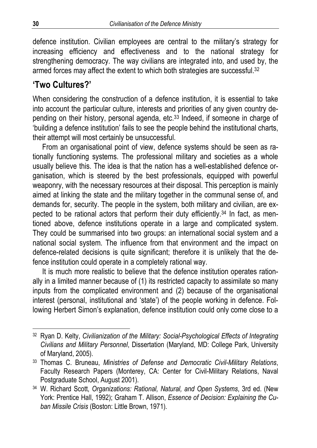defence institution. Civilian employees are central to the military's strategy for increasing efficiency and effectiveness and to the national strategy for strengthening democracy. The way civilians are integrated into, and used by, the armed forces may affect the extent to which both strategies are successful.<sup>32</sup>

## **'Two Cultures?'**

When considering the construction of a defence institution, it is essential to take into account the particular culture, interests and priorities of any given country depending on their history, personal agenda, etc.33 Indeed, if someone in charge of 'building a defence institution' fails to see the people behind the institutional charts, their attempt will most certainly be unsuccessful.

From an organisational point of view, defence systems should be seen as rationally functioning systems. The professional military and societies as a whole usually believe this. The idea is that the nation has a well-established defence organisation, which is steered by the best professionals, equipped with powerful weaponry, with the necessary resources at their disposal. This perception is mainly aimed at linking the state and the military together in the communal sense of, and demands for, security. The people in the system, both military and civilian, are expected to be rational actors that perform their duty efficiently.<sup>34</sup> In fact, as mentioned above, defence institutions operate in a large and complicated system. They could be summarised into two groups: an international social system and a national social system. The influence from that environment and the impact on defence-related decisions is quite significant; therefore it is unlikely that the defence institution could operate in a completely rational way.

It is much more realistic to believe that the defence institution operates rationally in a limited manner because of (1) its restricted capacity to assimilate so many inputs from the complicated environment and (2) because of the organisational interest (personal, institutional and 'state') of the people working in defence. Following Herbert Simon's explanation, defence institution could only come close to a

<sup>32</sup> Ryan D. Kelty, *Civilianization of the Military: Social-Psychological Effects of Integrating Civilians and Military Personnel*, Dissertation (Maryland, MD: College Park, University of Maryland, 2005).

<sup>33</sup> Thomas C. Bruneau, *Ministries of Defense and Democratic Civil-Military Relations*, Faculty Research Papers (Monterey, CA: Center for Civil-Military Relations, Naval Postgraduate School, August 2001).

<sup>34</sup> W. Richard Scott, *Organizations: Rational, Natural, and Open Systems*, 3rd ed. (New York: Prentice Hall, 1992); Graham T. Allison, *Essence of Decision: Explaining the Cuban Missile Crisis* (Boston: Little Brown, 1971).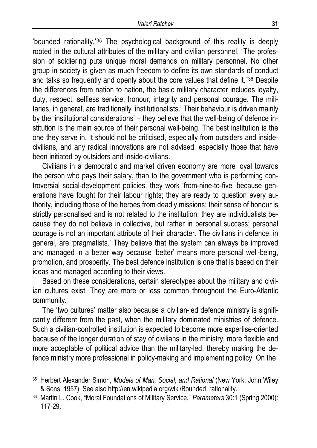'bounded rationality.'35 The psychological background of this reality is deeply rooted in the cultural attributes of the military and civilian personnel. "The profession of soldiering puts unique moral demands on military personnel. No other group in society is given as much freedom to define its own standards of conduct and talks so frequently and openly about the core values that define it."36 Despite the differences from nation to nation, the basic military character includes loyalty, duty, respect, selfless service, honour, integrity and personal courage. The militaries, in general, are traditionally 'institutionalists.' Their behaviour is driven mainly by the 'institutional considerations' – they believe that the well-being of defence institution is the main source of their personal well-being. The best institution is the one they serve in. It should not be criticised, especially from outsiders and insidecivilians, and any radical innovations are not advised, especially those that have been initiated by outsiders and inside-civilians.

Civilians in a democratic and market driven economy are more loyal towards the person who pays their salary, than to the government who is performing controversial social-development policies; they work 'from-nine-to-five' because generations have fought for their labour rights; they are ready to question every authority, including those of the heroes from deadly missions; their sense of honour is strictly personalised and is not related to the institution; they are individualists because they do not believe in collective, but rather in personal success; personal courage is not an important attribute of their character. The civilians in defence, in general, are 'pragmatists.' They believe that the system can always be improved and managed in a better way because 'better' means more personal well-being, promotion, and prosperity. The best defence institution is one that is based on their ideas and managed according to their views.

Based on these considerations, certain stereotypes about the military and civilian cultures exist. They are more or less common throughout the Euro-Atlantic community.

The 'two cultures' matter also because a civilian-led defence ministry is significantly different from the past, when the military dominated ministries of defence. Such a civilian-controlled institution is expected to become more expertise-oriented because of the longer duration of stay of civilians in the ministry, more flexible and more acceptable of political advice than the military-led, thereby making the defence ministry more professional in policy-making and implementing policy. On the

<sup>35</sup> Herbert Alexander Simon, *Models of Man, Social, and Rational* (New York: John Wiley & Sons, 1957). See also http://en.wikipedia.org/wiki/Bounded\_rationality.

<sup>36</sup> Martin L. Cook, "Moral Foundations of Military Service," *Parameters* 30:1 (Spring 2000): 117-29.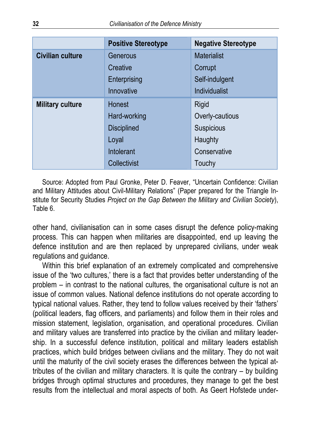|                         | <b>Positive Stereotype</b> | <b>Negative Stereotype</b> |
|-------------------------|----------------------------|----------------------------|
| <b>Civilian culture</b> | Generous                   | <b>Materialist</b>         |
|                         | Creative                   | Corrupt                    |
|                         | Enterprising               | Self-indulgent             |
|                         | Innovative                 | <b>Individualist</b>       |
| <b>Military culture</b> | Honest                     | Rigid                      |
|                         | Hard-working               | Overly-cautious            |
|                         | <b>Disciplined</b>         | Suspicious                 |
|                         | Loyal                      | Haughty                    |
|                         | Intolerant                 | Conservative               |
|                         | Collectivist               | Touchy                     |

Source: Adopted from Paul Gronke, Peter D. Feaver, "Uncertain Confidence: Civilian and Military Attitudes about Civil-Military Relations" (Paper prepared for the Triangle Institute for Security Studies *Project on the Gap Between the Military and Civilian Society*), Table 6.

other hand, civilianisation can in some cases disrupt the defence policy-making process. This can happen when militaries are disappointed, end up leaving the defence institution and are then replaced by unprepared civilians, under weak regulations and guidance.

Within this brief explanation of an extremely complicated and comprehensive issue of the 'two cultures,' there is a fact that provides better understanding of the problem – in contrast to the national cultures, the organisational culture is not an issue of common values. National defence institutions do not operate according to typical national values. Rather, they tend to follow values received by their 'fathers' (political leaders, flag officers, and parliaments) and follow them in their roles and mission statement, legislation, organisation, and operational procedures. Civilian and military values are transferred into practice by the civilian and military leadership. In a successful defence institution, political and military leaders establish practices, which build bridges between civilians and the military. They do not wait until the maturity of the civil society erases the differences between the typical attributes of the civilian and military characters. It is quite the contrary – by building bridges through optimal structures and procedures, they manage to get the best results from the intellectual and moral aspects of both. As Geert Hofstede under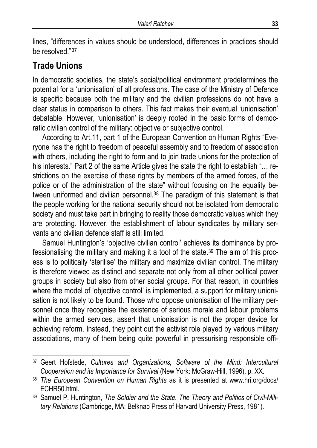lines, "differences in values should be understood, differences in practices should be resolved."37

## **Trade Unions**

l

In democratic societies, the state's social/political environment predetermines the potential for a 'unionisation' of all professions. The case of the Ministry of Defence is specific because both the military and the civilian professions do not have a clear status in comparison to others. This fact makes their eventual 'unionisation' debatable. However, 'unionisation' is deeply rooted in the basic forms of democratic civilian control of the military: objective or subjective control.

According to Art.11, part 1 of the European Convention on Human Rights "Everyone has the right to freedom of peaceful assembly and to freedom of association with others, including the right to form and to join trade unions for the protection of his interests." Part 2 of the same Article gives the state the right to establish "... restrictions on the exercise of these rights by members of the armed forces, of the police or of the administration of the state" without focusing on the equality between uniformed and civilian personnel.<sup>38</sup> The paradigm of this statement is that the people working for the national security should not be isolated from democratic society and must take part in bringing to reality those democratic values which they are protecting. However, the establishment of labour syndicates by military servants and civilian defence staff is still limited.

Samuel Huntington's 'objective civilian control' achieves its dominance by professionalising the military and making it a tool of the state.39 The aim of this process is to politically 'sterilise' the military and maximize civilian control. The military is therefore viewed as distinct and separate not only from all other political power groups in society but also from other social groups. For that reason, in countries where the model of 'objective control' is implemented, a support for military unionisation is not likely to be found. Those who oppose unionisation of the military personnel once they recognise the existence of serious morale and labour problems within the armed services, assert that unionisation is not the proper device for achieving reform. Instead, they point out the activist role played by various military associations, many of them being quite powerful in pressurising responsible offi-

<sup>37</sup> Geert Hofstede, *Cultures and Organizations, Software of the Mind: Intercultural Cooperation and its Importance for Survival* (New York: McGraw-Hill, 1996), p. XX.

<sup>38</sup> *The European Convention on Human Rights* as it is presented at www.hri.org/docs/ ECHR50.html.

<sup>39</sup> Samuel P. Huntington, *The Soldier and the State. The Theory and Politics of Civil-Military Relations* (Cambridge, MA: Belknap Press of Harvard University Press, 1981).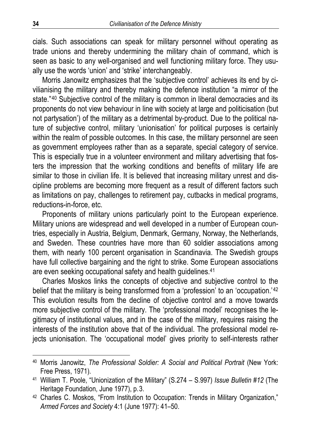cials. Such associations can speak for military personnel without operating as trade unions and thereby undermining the military chain of command, which is seen as basic to any well-organised and well functioning military force. They usually use the words 'union' and 'strike' interchangeably.

Morris Janowitz emphasizes that the 'subjective control' achieves its end by civilianising the military and thereby making the defence institution "a mirror of the state."<sup>40</sup> Subjective control of the military is common in liberal democracies and its proponents do not view behaviour in line with society at large and politicisation (but not partysation') of the military as a detrimental by-product. Due to the political nature of subjective control, military 'unionisation' for political purposes is certainly within the realm of possible outcomes. In this case, the military personnel are seen as government employees rather than as a separate, special category of service. This is especially true in a volunteer environment and military advertising that fosters the impression that the working conditions and benefits of military life are similar to those in civilian life. It is believed that increasing military unrest and discipline problems are becoming more frequent as a result of different factors such as limitations on pay, challenges to retirement pay, cutbacks in medical programs, reductions-in-force, etc.

Proponents of military unions particularly point to the European experience. Military unions are widespread and well developed in a number of European countries, especially in Austria, Belgium, Denmark, Germany, Norway, the Netherlands, and Sweden. These countries have more than 60 soldier associations among them, with nearly 100 percent organisation in Scandinavia. The Swedish groups have full collective bargaining and the right to strike. Some European associations are even seeking occupational safety and health guidelines.<sup>41</sup>

Charles Moskos links the concepts of objective and subjective control to the belief that the military is being transformed from a 'profession' to an 'occupation.'<sup>42</sup> This evolution results from the decline of objective control and a move towards more subjective control of the military. The 'professional model' recognises the legitimacy of institutional values, and in the case of the military, requires raising the interests of the institution above that of the individual. The professional model rejects unionisation. The 'occupational model' gives priority to self-interests rather

<sup>40</sup> Morris Janowitz, *The Professional Soldier: A Social and Political Portrait* (New York: Free Press, 1971).

<sup>41</sup> William T. Poole, "Unionization of the Military" (S.274 – S.997) *Issue Bulletin #12* (The Heritage Foundation, June 1977), p.3.

<sup>42</sup> Charles C. Moskos, "From Institution to Occupation: Trends in Military Organization," *Armed Forces and Society* 4:1 (June 1977): 41–50.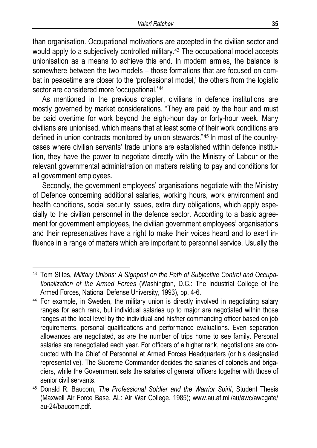than organisation. Occupational motivations are accepted in the civilian sector and would apply to a subjectively controlled military.<sup>43</sup> The occupational model accepts unionisation as a means to achieve this end. In modern armies, the balance is somewhere between the two models – those formations that are focused on combat in peacetime are closer to the 'professional model,' the others from the logistic sector are considered more 'occupational.'44

As mentioned in the previous chapter, civilians in defence institutions are mostly governed by market considerations. "They are paid by the hour and must be paid overtime for work beyond the eight-hour day or forty-hour week. Many civilians are unionised, which means that at least some of their work conditions are defined in union contracts monitored by union stewards."45 In most of the countrycases where civilian servants' trade unions are established within defence institution, they have the power to negotiate directly with the Ministry of Labour or the relevant governmental administration on matters relating to pay and conditions for all government employees.

Secondly, the government employees' organisations negotiate with the Ministry of Defence concerning additional salaries, working hours, work environment and health conditions, social security issues, extra duty obligations, which apply especially to the civilian personnel in the defence sector. According to a basic agreement for government employees, the civilian government employees' organisations and their representatives have a right to make their voices heard and to exert influence in a range of matters which are important to personnel service. Usually the

<sup>43</sup> Tom Stites, *Military Unions: A Signpost on the Path of Subjective Control and Occupationalization of the Armed Forces* (Washington, D.C.: The Industrial College of the Armed Forces, National Defense University, 1993), pp. 4-6.

<sup>&</sup>lt;sup>44</sup> For example, in Sweden, the military union is directly involved in negotiating salary ranges for each rank, but individual salaries up to major are negotiated within those ranges at the local level by the individual and his/her commanding officer based on job requirements, personal qualifications and performance evaluations. Even separation allowances are negotiated, as are the number of trips home to see family. Personal salaries are renegotiated each year. For officers of a higher rank, negotiations are conducted with the Chief of Personnel at Armed Forces Headquarters (or his designated representative). The Supreme Commander decides the salaries of colonels and brigadiers, while the Government sets the salaries of general officers together with those of senior civil servants.

<sup>45</sup> Donald R. Baucom, *The Professional Soldier and the Warrior Spirit*, Student Thesis (Maxwell Air Force Base, AL: Air War College, 1985); www.au.af.mil/au/awc/awcgate/ au-24/baucom.pdf.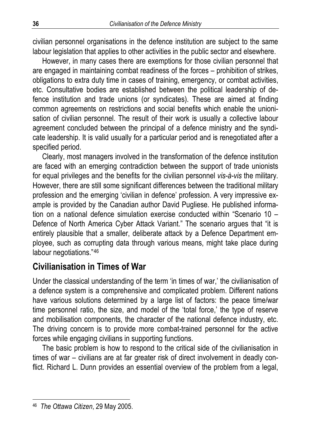civilian personnel organisations in the defence institution are subject to the same labour legislation that applies to other activities in the public sector and elsewhere.

However, in many cases there are exemptions for those civilian personnel that are engaged in maintaining combat readiness of the forces – prohibition of strikes, obligations to extra duty time in cases of training, emergency, or combat activities, etc. Consultative bodies are established between the political leadership of defence institution and trade unions (or syndicates). These are aimed at finding common agreements on restrictions and social benefits which enable the unionisation of civilian personnel. The result of their work is usually a collective labour agreement concluded between the principal of a defence ministry and the syndicate leadership. It is valid usually for a particular period and is renegotiated after a specified period.

Clearly, most managers involved in the transformation of the defence institution are faced with an emerging contradiction between the support of trade unionists for equal privileges and the benefits for the civilian personnel *vis-à-vis* the military. However, there are still some significant differences between the traditional military profession and the emerging 'civilian in defence' profession. A very impressive example is provided by the Canadian author David Pugliese. He published information on a national defence simulation exercise conducted within "Scenario 10 – Defence of North America Cyber Attack Variant." The scenario argues that "it is entirely plausible that a smaller, deliberate attack by a Defence Department employee, such as corrupting data through various means, might take place during labour negotiations."46

## **Civilianisation in Times of War**

Under the classical understanding of the term 'in times of war,' the civilianisation of a defence system is a comprehensive and complicated problem. Different nations have various solutions determined by a large list of factors: the peace time/war time personnel ratio, the size, and model of the 'total force,' the type of reserve and mobilisation components, the character of the national defence industry, etc. The driving concern is to provide more combat-trained personnel for the active forces while engaging civilians in supporting functions.

The basic problem is how to respond to the critical side of the civilianisation in times of war – civilians are at far greater risk of direct involvement in deadly conflict. Richard L. Dunn provides an essential overview of the problem from a legal,

<sup>46</sup> *The Ottawa Citizen*, 29 May 2005.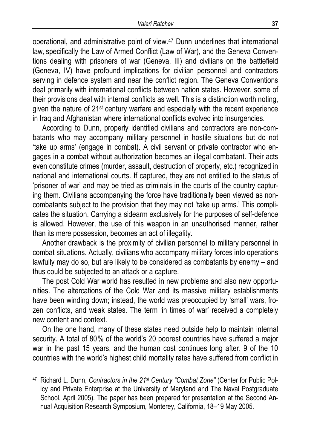operational, and administrative point of view.47 Dunn underlines that international law, specifically the Law of Armed Conflict (Law of War), and the Geneva Conventions dealing with prisoners of war (Geneva, III) and civilians on the battlefield (Geneva, IV) have profound implications for civilian personnel and contractors serving in defence system and near the conflict region. The Geneva Conventions deal primarily with international conflicts between nation states. However, some of their provisions deal with internal conflicts as well. This is a distinction worth noting, given the nature of 21st century warfare and especially with the recent experience in Iraq and Afghanistan where international conflicts evolved into insurgencies.

According to Dunn, properly identified civilians and contractors are non-combatants who may accompany military personnel in hostile situations but do not 'take up arms' (engage in combat). A civil servant or private contractor who engages in a combat without authorization becomes an illegal combatant. Their acts even constitute crimes (murder, assault, destruction of property, etc.) recognized in national and international courts. If captured, they are not entitled to the status of 'prisoner of war' and may be tried as criminals in the courts of the country capturing them. Civilians accompanying the force have traditionally been viewed as noncombatants subject to the provision that they may not 'take up arms.' This complicates the situation. Carrying a sidearm exclusively for the purposes of self-defence is allowed. However, the use of this weapon in an unauthorised manner, rather than its mere possession, becomes an act of illegality.

Another drawback is the proximity of civilian personnel to military personnel in combat situations. Actually, civilians who accompany military forces into operations lawfully may do so, but are likely to be considered as combatants by enemy – and thus could be subjected to an attack or a capture.

The post Cold War world has resulted in new problems and also new opportunities. The altercations of the Cold War and its massive military establishments have been winding down; instead, the world was preoccupied by 'small' wars, frozen conflicts, and weak states. The term 'in times of war' received a completely new content and context.

On the one hand, many of these states need outside help to maintain internal security. A total of 80% of the world's 20 poorest countries have suffered a major war in the past 15 years, and the human cost continues long after. 9 of the 10 countries with the world's highest child mortality rates have suffered from conflict in

<sup>47</sup> Richard L. Dunn, *Contractors in the 21st Century "Combat Zone"* (Center for Public Policy and Private Enterprise at the University of Maryland and The Naval Postgraduate School, April 2005)*.* The paper has been prepared for presentation at the Second Annual Acquisition Research Symposium, Monterey, California, 18–19 May 2005.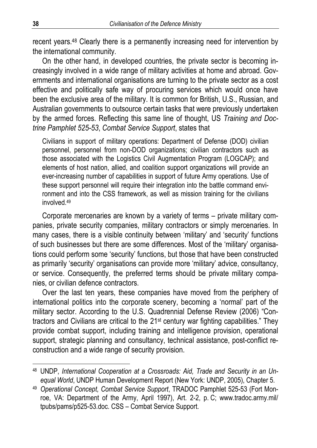recent years.48 Clearly there is a permanently increasing need for intervention by the international community.

On the other hand, in developed countries, the private sector is becoming increasingly involved in a wide range of military activities at home and abroad. Governments and international organisations are turning to the private sector as a cost effective and politically safe way of procuring services which would once have been the exclusive area of the military. It is common for British, U.S., Russian, and Australian governments to outsource certain tasks that were previously undertaken by the armed forces. Reflecting this same line of thought, US *Training and Doctrine Pamphlet 525-53*, *Combat Service Support*, states that

Civilians in support of military operations: Department of Defense (DOD) civilian personnel, personnel from non-DOD organizations; civilian contractors such as those associated with the Logistics Civil Augmentation Program (LOGCAP); and elements of host nation, allied, and coalition support organizations will provide an ever-increasing number of capabilities in support of future Army operations. Use of these support personnel will require their integration into the battle command environment and into the CSS framework, as well as mission training for the civilians involved.49

Corporate mercenaries are known by a variety of terms – private military companies, private security companies, military contractors or simply mercenaries. In many cases, there is a visible continuity between 'military' and 'security' functions of such businesses but there are some differences. Most of the 'military' organisations could perform some 'security' functions, but those that have been constructed as primarily 'security' organisations can provide more 'military' advice, consultancy, or service. Consequently, the preferred terms should be private military companies, or civilian defence contractors.

Over the last ten years, these companies have moved from the periphery of international politics into the corporate scenery, becoming a 'normal' part of the military sector. According to the U.S. Quadrennial Defense Review (2006) "Contractors and Civilians are critical to the 21st century war fighting capabilities." They provide combat support, including training and intelligence provision, operational support, strategic planning and consultancy, technical assistance, post-conflict reconstruction and a wide range of security provision.

<sup>48</sup> UNDP, *International Cooperation at a Crossroads: Aid, Trade and Security in an Unequal World*, UNDP Human Development Report (New York: UNDP, 2005), Chapter 5.

<sup>49</sup> *Operational Concept, Combat Service Support*, TRADOC Pamphlet 525-53 (Fort Monroe, VA: Department of the Army, April 1997), Art. 2-2, p. C; www.tradoc.army.mil/ tpubs/pams/p525-53.doc. CSS – Combat Service Support.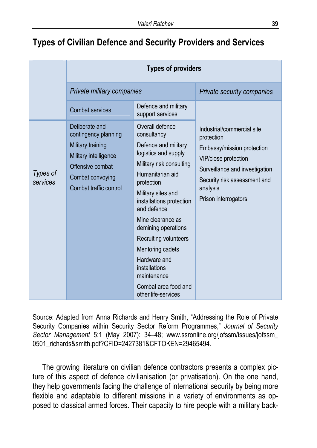## **Types of Civilian Defence and Security Providers and Services**

|                      | <b>Types of providers</b>                                                                                                                              |                                                                                                                                                                                                                                                                                                                                                                                                       |                                                                                                                                                                                                      |
|----------------------|--------------------------------------------------------------------------------------------------------------------------------------------------------|-------------------------------------------------------------------------------------------------------------------------------------------------------------------------------------------------------------------------------------------------------------------------------------------------------------------------------------------------------------------------------------------------------|------------------------------------------------------------------------------------------------------------------------------------------------------------------------------------------------------|
|                      | Private military companies                                                                                                                             |                                                                                                                                                                                                                                                                                                                                                                                                       | Private security companies                                                                                                                                                                           |
|                      | Combat services                                                                                                                                        | Defence and military<br>support services                                                                                                                                                                                                                                                                                                                                                              |                                                                                                                                                                                                      |
| Types of<br>services | Deliberate and<br>contingency planning<br>Military training<br>Military intelligence<br>Offensive combat<br>Combat convoying<br>Combat traffic control | Overall defence<br>consultancy<br>Defence and military<br>logistics and supply<br>Military risk consulting<br>Humanitarian aid<br>protection<br>Military sites and<br>installations protection<br>and defence<br>Mine clearance as<br>demining operations<br>Recruiting volunteers<br>Mentoring cadets<br>Hardware and<br>installations<br>maintenance<br>Combat area food and<br>other life-services | Industrial/commercial site<br>protection<br>Embassy/mission protection<br>VIP/close protection<br>Surveillance and investigation<br>Security risk assessment and<br>analysis<br>Prison interrogators |

Source: Adapted from Anna Richards and Henry Smith, "Addressing the Role of Private Security Companies within Security Sector Reform Programmes," *Journal of Security Sector Management* 5:1 (May 2007): 34–48; www.ssronline.org/jofssm/issues/jofssm\_ 0501\_richards&smith.pdf?CFID=2427381&CFTOKEN=29465494.

The growing literature on civilian defence contractors presents a complex picture of this aspect of defence civilianisation (or privatisation). On the one hand, they help governments facing the challenge of international security by being more flexible and adaptable to different missions in a variety of environments as opposed to classical armed forces. Their capacity to hire people with a military back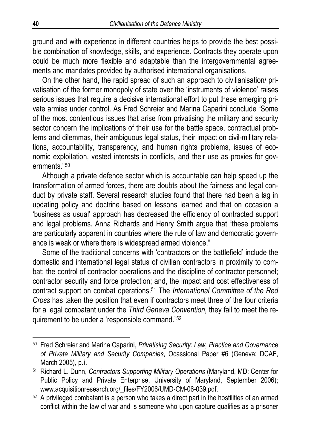ground and with experience in different countries helps to provide the best possible combination of knowledge, skills, and experience. Contracts they operate upon could be much more flexible and adaptable than the intergovernmental agreements and mandates provided by authorised international organisations.

On the other hand, the rapid spread of such an approach to civilianisation/ privatisation of the former monopoly of state over the 'instruments of violence' raises serious issues that require a decisive international effort to put these emerging private armies under control. As Fred Schreier and Marina Caparini conclude "Some of the most contentious issues that arise from privatising the military and security sector concern the implications of their use for the battle space, contractual problems and dilemmas, their ambiguous legal status, their impact on civil-military relations, accountability, transparency, and human rights problems, issues of economic exploitation, vested interests in conflicts, and their use as proxies for governments."50

Although a private defence sector which is accountable can help speed up the transformation of armed forces, there are doubts about the fairness and legal conduct by private staff. Several research studies found that there had been a lag in updating policy and doctrine based on lessons learned and that on occasion a 'business as usual' approach has decreased the efficiency of contracted support and legal problems. Anna Richards and Henry Smith argue that "these problems are particularly apparent in countries where the rule of law and democratic governance is weak or where there is widespread armed violence."

Some of the traditional concerns with 'contractors on the battlefield' include the domestic and international legal status of civilian contractors in proximity to combat; the control of contractor operations and the discipline of contractor personnel; contractor security and force protection; and, the impact and cost effectiveness of contract support on combat operations.51 The *International Committee of the Red Cross* has taken the position that even if contractors meet three of the four criteria for a legal combatant under the *Third Geneva Convention,* they fail to meet the requirement to be under a 'responsible command.'52

<sup>50</sup> Fred Schreier and Marina Caparini, *Privatising Security: Law, Practice and Governance of Private Military and Security Companies*, Ocassional Paper #6 (Geneva: DCAF, March 2005), p.i.

<sup>51</sup> Richard L. Dunn, *Contractors Supporting Military Operations* (Maryland, MD: Center for Public Policy and Private Enterprise, University of Maryland, September 2006); www.acquisitionresearch.org/\_files/FY2006/UMD-CM-06-039.pdf.

 $52$  A privileged combatant is a person who takes a direct part in the hostilities of an armed conflict within the law of war and is someone who upon capture qualifies as a prisoner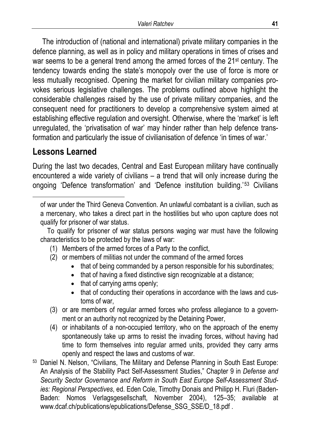The introduction of (national and international) private military companies in the defence planning, as well as in policy and military operations in times of crises and war seems to be a general trend among the armed forces of the 21<sup>st</sup> century. The tendency towards ending the state's monopoly over the use of force is more or less mutually recognised. Opening the market for civilian military companies provokes serious legislative challenges. The problems outlined above highlight the considerable challenges raised by the use of private military companies, and the consequent need for practitioners to develop a comprehensive system aimed at establishing effective regulation and oversight. Otherwise, where the 'market' is left unregulated, the 'privatisation of war' may hinder rather than help defence transformation and particularly the issue of civilianisation of defence 'in times of war.'

## **Lessons Learned**

 $\overline{a}$ 

During the last two decades, Central and East European military have continually encountered a wide variety of civilians – a trend that will only increase during the ongoing 'Defence transformation' and 'Defence institution building.'<sup>53</sup> Civilians

 To qualify for prisoner of war status persons waging war must have the following characteristics to be protected by the laws of war:

- (1) Members of the armed forces of a Party to the conflict,
- (2) or members of militias not under the command of the armed forces
	- that of being commanded by a person responsible for his subordinates;
	- that of having a fixed distinctive sign recognizable at a distance;
	- that of carrying arms openly;
	- that of conducting their operations in accordance with the laws and customs of war,
- (3) or are members of regular armed forces who profess allegiance to a government or an authority not recognized by the Detaining Power,
- (4) or inhabitants of a non-occupied territory, who on the approach of the enemy spontaneously take up arms to resist the invading forces, without having had time to form themselves into regular armed units, provided they carry arms openly and respect the laws and customs of war.
- <sup>53</sup> Daniel N. Nelson, "Civilians, The Military and Defense Planning in South East Europe: An Analysis of the Stability Pact Self-Assessment Studies," Chapter 9 in *Defense and Security Sector Governance and Reform in South East Europe Self-Assessment Studies: Regional Perspectives*, ed. Eden Cole, Timothy Donais and Philipp H. Fluri (Baden-Baden: Nomos Verlagsgesellschaft, November 2004), 125–35; available at www.dcaf.ch/publications/epublications/Defense\_SSG\_SSE/D\_18.pdf .

of war under the Third Geneva Convention. An unlawful combatant is a civilian, such as a mercenary, who takes a direct part in the hostilities but who upon capture does not qualify for prisoner of war status.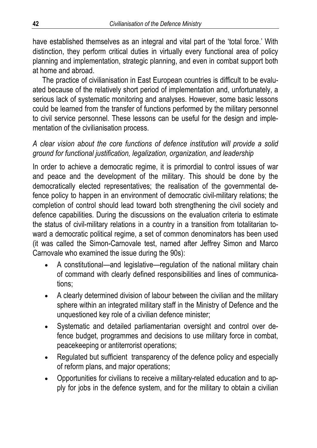have established themselves as an integral and vital part of the 'total force.' With distinction, they perform critical duties in virtually every functional area of policy planning and implementation, strategic planning, and even in combat support both at home and abroad.

The practice of civilianisation in East European countries is difficult to be evaluated because of the relatively short period of implementation and, unfortunately, a serious lack of systematic monitoring and analyses. However, some basic lessons could be learned from the transfer of functions performed by the military personnel to civil service personnel. These lessons can be useful for the design and implementation of the civilianisation process.

#### *A clear vision about the core functions of defence institution will provide a solid ground for functional justification, legalization, organization, and leadership*

In order to achieve a democratic regime, it is primordial to control issues of war and peace and the development of the military. This should be done by the democratically elected representatives; the realisation of the governmental defence policy to happen in an environment of democratic civil-military relations; the completion of control should lead toward both strengthening the civil society and defence capabilities. During the discussions on the evaluation criteria to estimate the status of civil-military relations in a country in a transition from totalitarian toward a democratic political regime, a set of common denominators has been used (it was called the Simon-Carnovale test, named after Jeffrey Simon and Marco Carnovale who examined the issue during the 90s):

- A constitutional—and legislative—regulation of the national military chain of command with clearly defined responsibilities and lines of communications;
- A clearly determined division of labour between the civilian and the military sphere within an integrated military staff in the Ministry of Defence and the unquestioned key role of a civilian defence minister;
- Systematic and detailed parliamentarian oversight and control over defence budget, programmes and decisions to use military force in combat, peacekeeping or antiterrorist operations;
- Regulated but sufficient transparency of the defence policy and especially of reform plans, and major operations;
- Opportunities for civilians to receive a military-related education and to apply for jobs in the defence system, and for the military to obtain a civilian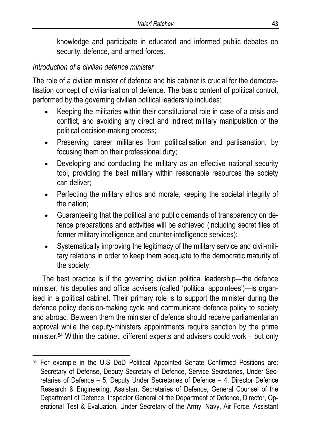knowledge and participate in educated and informed public debates on security, defence, and armed forces.

## *Introduction of a civilian defence minister*

 $\overline{a}$ 

The role of a civilian minister of defence and his cabinet is crucial for the democratisation concept of civilianisation of defence. The basic content of political control, performed by the governing civilian political leadership includes:

- Keeping the militaries within their constitutional role in case of a crisis and conflict, and avoiding any direct and indirect military manipulation of the political decision-making process;
- Preserving career militaries from politicalisation and partisanation, by focusing them on their professional duty;
- Developing and conducting the military as an effective national security tool, providing the best military within reasonable resources the society can deliver;
- Perfecting the military ethos and morale, keeping the societal integrity of the nation;
- Guaranteeing that the political and public demands of transparency on defence preparations and activities will be achieved (including secret files of former military intelligence and counter-intelligence services);
- Systematically improving the legitimacy of the military service and civil-military relations in order to keep them adequate to the democratic maturity of the society.

The best practice is if the governing civilian political leadership—the defence minister, his deputies and office advisers (called 'political appointees')—is organised in a political cabinet. Their primary role is to support the minister during the defence policy decision-making cycle and communicate defence policy to society and abroad. Between them the minister of defence should receive parliamentarian approval while the deputy-ministers appointments require sanction by the prime minister.<sup>54</sup> Within the cabinet, different experts and advisers could work – but only

<sup>54</sup> For example in the U.S DoD Political Appointed Senate Confirmed Positions are: Secretary of Defense, Deputy Secretary of Defence, Service Secretaries, Under Secretaries of Defence – 5, Deputy Under Secretaries of Defence – 4, Director Defence Research & Engineering, Assistant Secretaries of Defence, General Counsel of the Department of Defence, Inspector General of the Department of Defence, Director, Operational Test & Evaluation, Under Secretary of the Army, Navy, Air Force, Assistant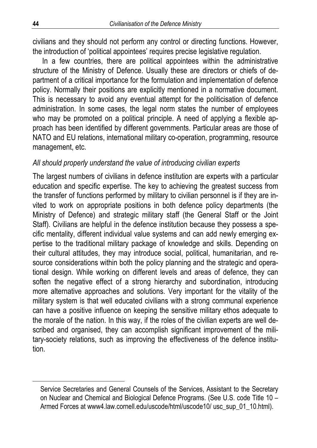civilians and they should not perform any control or directing functions. However, the introduction of 'political appointees' requires precise legislative regulation.

In a few countries, there are political appointees within the administrative structure of the Ministry of Defence. Usually these are directors or chiefs of department of a critical importance for the formulation and implementation of defence policy. Normally their positions are explicitly mentioned in a normative document. This is necessary to avoid any eventual attempt for the politicisation of defence administration. In some cases, the legal norm states the number of employees who may be promoted on a political principle. A need of applying a flexible approach has been identified by different governments. Particular areas are those of NATO and EU relations, international military co-operation, programming, resource management, etc.

#### *All should properly understand the value of introducing civilian experts*

The largest numbers of civilians in defence institution are experts with a particular education and specific expertise. The key to achieving the greatest success from the transfer of functions performed by military to civilian personnel is if they are invited to work on appropriate positions in both defence policy departments (the Ministry of Defence) and strategic military staff (the General Staff or the Joint Staff). Civilians are helpful in the defence institution because they possess a specific mentality, different individual value systems and can add newly emerging expertise to the traditional military package of knowledge and skills. Depending on their cultural attitudes, they may introduce social, political, humanitarian, and resource considerations within both the policy planning and the strategic and operational design. While working on different levels and areas of defence, they can soften the negative effect of a strong hierarchy and subordination, introducing more alternative approaches and solutions. Very important for the vitality of the military system is that well educated civilians with a strong communal experience can have a positive influence on keeping the sensitive military ethos adequate to the morale of the nation. In this way, if the roles of the civilian experts are well described and organised, they can accomplish significant improvement of the military-society relations, such as improving the effectiveness of the defence institution.

Service Secretaries and General Counsels of the Services, Assistant to the Secretary on Nuclear and Chemical and Biological Defence Programs. (See U.S. code Title 10 – Armed Forces at www4.law.cornell.edu/uscode/html/uscode10/ usc\_sup\_01\_10.html).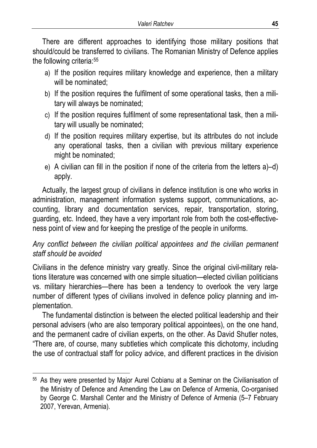There are different approaches to identifying those military positions that should/could be transferred to civilians. The Romanian Ministry of Defence applies the following criteria:55

- a) If the position requires military knowledge and experience, then a military will be nominated;
- b) If the position requires the fulfilment of some operational tasks, then a military will always be nominated;
- c) If the position requires fulfilment of some representational task, then a military will usually be nominated;
- d) If the position requires military expertise, but its attributes do not include any operational tasks, then a civilian with previous military experience might be nominated;
- e) A civilian can fill in the position if none of the criteria from the letters a)–d) apply.

Actually, the largest group of civilians in defence institution is one who works in administration, management information systems support, communications, accounting, library and documentation services, repair, transportation, storing, guarding, etc. Indeed, they have a very important role from both the cost-effectiveness point of view and for keeping the prestige of the people in uniforms.

## *Any conflict between the civilian political appointees and the civilian permanent staff should be avoided*

Civilians in the defence ministry vary greatly. Since the original civil-military relations literature was concerned with one simple situation—elected civilian politicians vs. military hierarchies—there has been a tendency to overlook the very large number of different types of civilians involved in defence policy planning and implementation.

The fundamental distinction is between the elected political leadership and their personal advisers (who are also temporary political appointees), on the one hand, and the permanent cadre of civilian experts, on the other. As David Shutler notes, "There are, of course, many subtleties which complicate this dichotomy, including the use of contractual staff for policy advice, and different practices in the division

<sup>55</sup> As they were presented by Major Aurel Cobianu at a Seminar on the Civilianisation of the Ministry of Defence and Amending the Law on Defence of Armenia, Co-organised by George C. Marshall Center and the Ministry of Defence of Armenia (5–7 February 2007, Yerevan, Armenia).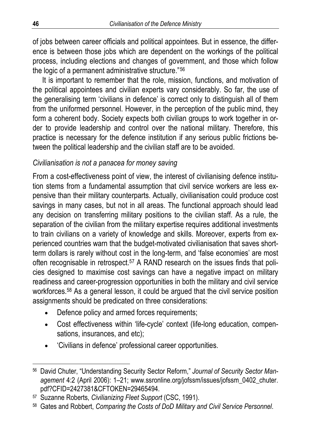of jobs between career officials and political appointees. But in essence, the difference is between those jobs which are dependent on the workings of the political process, including elections and changes of government, and those which follow the logic of a permanent administrative structure."56

It is important to remember that the role, mission, functions, and motivation of the political appointees and civilian experts vary considerably. So far, the use of the generalising term 'civilians in defence' is correct only to distinguish all of them from the uniformed personnel. However, in the perception of the public mind, they form a coherent body. Society expects both civilian groups to work together in order to provide leadership and control over the national military. Therefore, this practice is necessary for the defence institution if any serious public frictions between the political leadership and the civilian staff are to be avoided.

### *Civilianisation is not a panacea for money saving*

From a cost-effectiveness point of view, the interest of civilianising defence institution stems from a fundamental assumption that civil service workers are less expensive than their military counterparts. Actually, civilianisation could produce cost savings in many cases, but not in all areas. The functional approach should lead any decision on transferring military positions to the civilian staff. As a rule, the separation of the civilian from the military expertise requires additional investments to train civilians on a variety of knowledge and skills. Moreover, experts from experienced countries warn that the budget-motivated civilianisation that saves shortterm dollars is rarely without cost in the long-term, and 'false economies' are most often recognisable in retrospect.<sup>57</sup> A RAND research on the issues finds that policies designed to maximise cost savings can have a negative impact on military readiness and career-progression opportunities in both the military and civil service workforces.58 As a general lesson, it could be argued that the civil service position assignments should be predicated on three considerations:

- Defence policy and armed forces requirements;
- Cost effectiveness within 'life-cycle' context (life-long education, compensations, insurances, and etc);
- 'Civilians in defence' professional career opportunities.

<sup>56</sup> David Chuter, "Understanding Security Sector Reform," *Journal of Security Sector Management* 4:2 (April 2006): 1–21; www.ssronline.org/jofssm/issues/jofssm\_0402\_chuter. pdf?CFID=2427381&CFTOKEN=29465494.

<sup>57</sup> Suzanne Roberts, *Civilianizing Fleet Support* (CSC, 1991).

<sup>58</sup> Gates and Robbert, *Comparing the Costs of DoD Military and Civil Service Personnel*.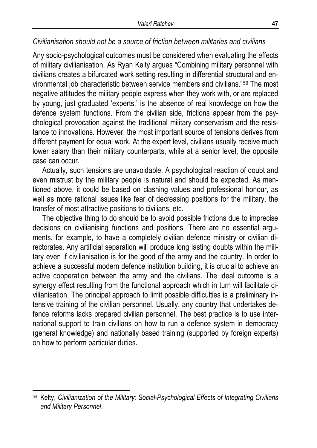### *Civilianisation should not be a source of friction between militaries and civilians*

Any socio-psychological outcomes must be considered when evaluating the effects of military civilianisation. As Ryan Kelty argues "Combining military personnel with civilians creates a bifurcated work setting resulting in differential structural and environmental job characteristic between service members and civilians."59 The most negative attitudes the military people express when they work with, or are replaced by young, just graduated 'experts,' is the absence of real knowledge on how the defence system functions. From the civilian side, frictions appear from the psychological provocation against the traditional military conservatism and the resistance to innovations. However, the most important source of tensions derives from different payment for equal work. At the expert level, civilians usually receive much lower salary than their military counterparts, while at a senior level, the opposite case can occur.

Actually, such tensions are unavoidable. A psychological reaction of doubt and even mistrust by the military people is natural and should be expected. As mentioned above, it could be based on clashing values and professional honour, as well as more rational issues like fear of decreasing positions for the military, the transfer of most attractive positions to civilians, etc.

The objective thing to do should be to avoid possible frictions due to imprecise decisions on civilianising functions and positions. There are no essential arguments, for example, to have a completely civilian defence ministry or civilian directorates. Any artificial separation will produce long lasting doubts within the military even if civilianisation is for the good of the army and the country. In order to achieve a successful modern defence institution building, it is crucial to achieve an active cooperation between the army and the civilians. The ideal outcome is a synergy effect resulting from the functional approach which in turn will facilitate civilianisation. The principal approach to limit possible difficulties is a preliminary intensive training of the civilian personnel. Usually, any country that undertakes defence reforms lacks prepared civilian personnel. The best practice is to use international support to train civilians on how to run a defence system in democracy (general knowledge) and nationally based training (supported by foreign experts) on how to perform particular duties.

<sup>59</sup> Kelty, *Civilianization of the Military: Social-Psychological Effects of Integrating Civilians and Military Personnel*.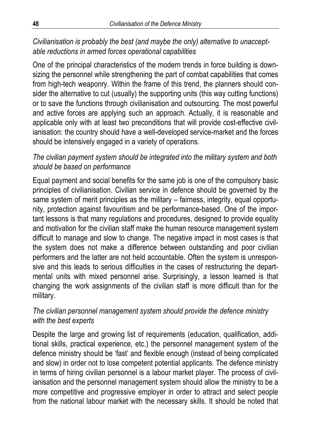## *Civilianisation is probably the best (and maybe the only) alternative to unacceptable reductions in armed forces operational capabilities*

One of the principal characteristics of the modern trends in force building is downsizing the personnel while strengthening the part of combat capabilities that comes from high-tech weaponry. Within the frame of this trend, the planners should consider the alternative to cut (usually) the supporting units (this way cutting functions) or to save the functions through civilianisation and outsourcing. The most powerful and active forces are applying such an approach. Actually, it is reasonable and applicable only with at least two preconditions that will provide cost-effective civilianisation: the country should have a well-developed service-market and the forces should be intensively engaged in a variety of operations.

## *The civilian payment system should be integrated into the military system and both should be based on performance*

Equal payment and social benefits for the same job is one of the compulsory basic principles of civilianisation. Civilian service in defence should be governed by the same system of merit principles as the military – fairness, integrity, equal opportunity, protection against favouritism and be performance-based. One of the important lessons is that many regulations and procedures, designed to provide equality and motivation for the civilian staff make the human resource management system difficult to manage and slow to change. The negative impact in most cases is that the system does not make a difference between outstanding and poor civilian performers and the latter are not held accountable. Often the system is unresponsive and this leads to serious difficulties in the cases of restructuring the departmental units with mixed personnel arise. Surprisingly, a lesson learned is that changing the work assignments of the civilian staff is more difficult than for the military.

### *The civilian personnel management system should provide the defence ministry with the best experts*

Despite the large and growing list of requirements (education, qualification, additional skills, practical experience, etc.) the personnel management system of the defence ministry should be 'fast' and flexible enough (instead of being complicated and slow) in order not to lose competent potential applicants. The defence ministry in terms of hiring civilian personnel is a labour market player. The process of civilianisation and the personnel management system should allow the ministry to be a more competitive and progressive employer in order to attract and select people from the national labour market with the necessary skills. It should be noted that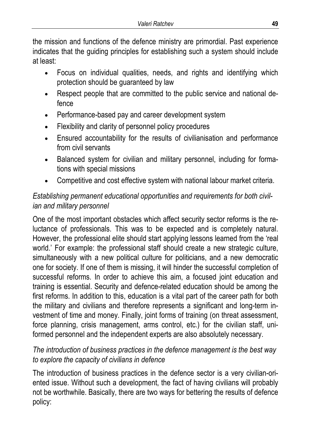the mission and functions of the defence ministry are primordial. Past experience indicates that the guiding principles for establishing such a system should include at least:

- Focus on individual qualities, needs, and rights and identifying which protection should be guaranteed by law
- Respect people that are committed to the public service and national defence
- Performance-based pay and career development system
- Flexibility and clarity of personnel policy procedures
- Ensured accountability for the results of civilianisation and performance from civil servants
- Balanced system for civilian and military personnel, including for formations with special missions
- Competitive and cost effective system with national labour market criteria.

## *Establishing permanent educational opportunities and requirements for both civilian and military personnel*

One of the most important obstacles which affect security sector reforms is the reluctance of professionals. This was to be expected and is completely natural. However, the professional elite should start applying lessons learned from the 'real world.' For example: the professional staff should create a new strategic culture, simultaneously with a new political culture for politicians, and a new democratic one for society. If one of them is missing, it will hinder the successful completion of successful reforms. In order to achieve this aim, a focused joint education and training is essential. Security and defence-related education should be among the first reforms. In addition to this, education is a vital part of the career path for both the military and civilians and therefore represents a significant and long-term investment of time and money. Finally, joint forms of training (on threat assessment, force planning, crisis management, arms control, etc.) for the civilian staff, uniformed personnel and the independent experts are also absolutely necessary.

### *The introduction of business practices in the defence management is the best way to explore the capacity of civilians in defence*

The introduction of business practices in the defence sector is a very civilian-oriented issue. Without such a development, the fact of having civilians will probably not be worthwhile. Basically, there are two ways for bettering the results of defence policy: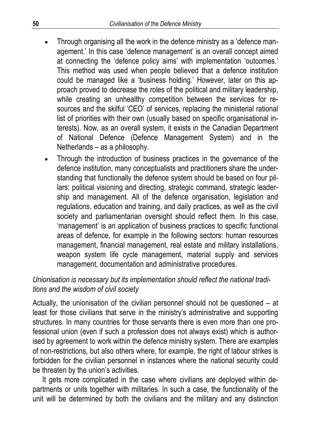- Through organising all the work in the defence ministry as a 'defence management.' In this case 'defence management' is an overall concept aimed at connecting the 'defence policy aims' with implementation 'outcomes.' This method was used when people believed that a defence institution could be managed like a 'business holding.' However, later on this approach proved to decrease the roles of the political and military leadership, while creating an unhealthy competition between the services for resources and the skilful 'CEO' of services, replacing the ministerial rational list of priorities with their own (usually based on specific organisational interests). Now, as an overall system, it exists in the Canadian Department of National Defence (Defence Management System) and in the Netherlands – as a philosophy.
- Through the introduction of business practices in the governance of the defence institution, many conceptualists and practitioners share the understanding that functionally the defence system should be based on four pillars: political visioning and directing, strategic command, strategic leadership and management. All of the defence organisation, legislation and regulations, education and training, and daily practices, as well as the civil society and parliamentarian oversight should reflect them. In this case, 'management' is an application of business practices to specific functional areas of defence, for example in the following sectors: human resources management, financial management, real estate and military installations, weapon system life cycle management, material supply and services management, documentation and administrative procedures.

## *Unionisation is necessary but its implementation should reflect the national traditions and the wisdom of civil society*

Actually, the unionisation of the civilian personnel should not be questioned – at least for those civilians that serve in the ministry's administrative and supporting structures. In many countries for those servants there is even more than one professional union (even if such a profession does not always exist) which is authorised by agreement to work within the defence ministry system. There are examples of non-restrictions, but also others where, for example, the right of labour strikes is forbidden for the civilian personnel in instances where the national security could be threaten by the union's activities.

It gets more complicated in the case where civilians are deployed within departments or units together with militaries. In such a case, the functionality of the unit will be determined by both the civilians and the military and any distinction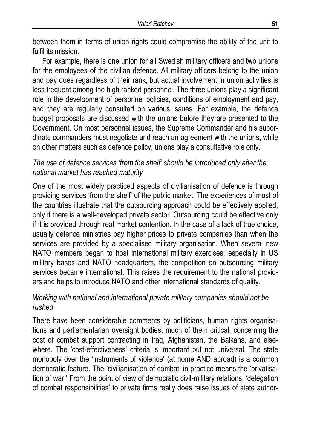between them in terms of union rights could compromise the ability of the unit to fulfil its mission.

For example, there is one union for all Swedish military officers and two unions for the employees of the civilian defence. All military officers belong to the union and pay dues regardless of their rank, but actual involvement in union activities is less frequent among the high ranked personnel. The three unions play a significant role in the development of personnel policies, conditions of employment and pay, and they are regularly consulted on various issues. For example, the defence budget proposals are discussed with the unions before they are presented to the Government. On most personnel issues, the Supreme Commander and his subordinate commanders must negotiate and reach an agreement with the unions, while on other matters such as defence policy, unions play a consultative role only.

### *The use of defence services 'from the shelf' should be introduced only after the national market has reached maturity*

One of the most widely practiced aspects of civilianisation of defence is through providing services 'from the shelf' of the public market. The experiences of most of the countries illustrate that the outsourcing approach could be effectively applied, only if there is a well-developed private sector. Outsourcing could be effective only if it is provided through real market contention. In the case of a lack of true choice, usually defence ministries pay higher prices to private companies than when the services are provided by a specialised military organisation. When several new NATO members began to host international military exercises, especially in US military bases and NATO headquarters, the competition on outsourcing military services became international. This raises the requirement to the national providers and helps to introduce NATO and other international standards of quality.

### *Working with national and international private military companies should not be rushed*

There have been considerable comments by politicians, human rights organisations and parliamentarian oversight bodies, much of them critical, concerning the cost of combat support contracting in Iraq, Afghanistan, the Balkans, and elsewhere. The 'cost-effectiveness' criteria is important but not universal. The state monopoly over the 'instruments of violence' (at home AND abroad) is a common democratic feature. The 'civilianisation of combat' in practice means the 'privatisation of war.' From the point of view of democratic civil-military relations, 'delegation of combat responsibilities' to private firms really does raise issues of state author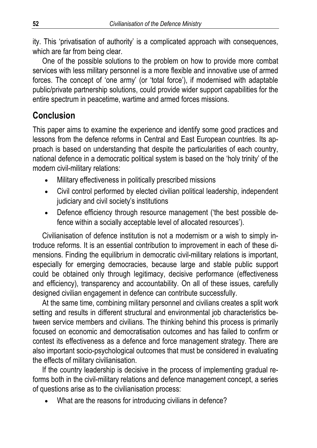ity. This 'privatisation of authority' is a complicated approach with consequences, which are far from being clear.

One of the possible solutions to the problem on how to provide more combat services with less military personnel is a more flexible and innovative use of armed forces. The concept of 'one army' (or 'total force'), if modernised with adaptable public/private partnership solutions, could provide wider support capabilities for the entire spectrum in peacetime, wartime and armed forces missions.

## **Conclusion**

This paper aims to examine the experience and identify some good practices and lessons from the defence reforms in Central and East European countries. Its approach is based on understanding that despite the particularities of each country, national defence in a democratic political system is based on the 'holy trinity' of the modern civil-military relations:

- Military effectiveness in politically prescribed missions
- Civil control performed by elected civilian political leadership, independent judiciary and civil society's institutions
- Defence efficiency through resource management ('the best possible defence within a socially acceptable level of allocated resources').

Civilianisation of defence institution is not a modernism or a wish to simply introduce reforms. It is an essential contribution to improvement in each of these dimensions. Finding the equilibrium in democratic civil-military relations is important, especially for emerging democracies, because large and stable public support could be obtained only through legitimacy, decisive performance (effectiveness and efficiency), transparency and accountability. On all of these issues, carefully designed civilian engagement in defence can contribute successfully.

At the same time, combining military personnel and civilians creates a split work setting and results in different structural and environmental job characteristics between service members and civilians. The thinking behind this process is primarily focused on economic and democratisation outcomes and has failed to confirm or contest its effectiveness as a defence and force management strategy. There are also important socio-psychological outcomes that must be considered in evaluating the effects of military civilianisation.

If the country leadership is decisive in the process of implementing gradual reforms both in the civil-military relations and defence management concept, a series of questions arise as to the civilianisation process:

• What are the reasons for introducing civilians in defence?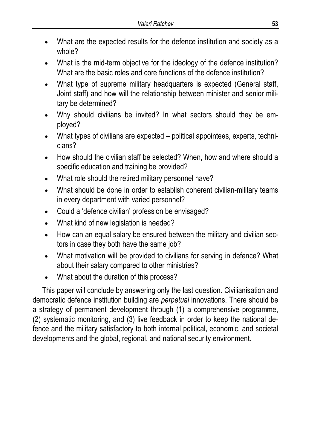- What are the expected results for the defence institution and society as a whole?
- What is the mid-term objective for the ideology of the defence institution? What are the basic roles and core functions of the defence institution?
- What type of supreme military headquarters is expected (General staff, Joint staff) and how will the relationship between minister and senior military be determined?
- Why should civilians be invited? In what sectors should they be employed?
- What types of civilians are expected political appointees, experts, technicians?
- How should the civilian staff be selected? When, how and where should a specific education and training be provided?
- What role should the retired military personnel have?
- What should be done in order to establish coherent civilian-military teams in every department with varied personnel?
- Could a 'defence civilian' profession be envisaged?
- What kind of new legislation is needed?
- How can an equal salary be ensured between the military and civilian sectors in case they both have the same job?
- What motivation will be provided to civilians for serving in defence? What about their salary compared to other ministries?
- What about the duration of this process?

This paper will conclude by answering only the last question. Civilianisation and democratic defence institution building are *perpetual* innovations. There should be a strategy of permanent development through (1) a comprehensive programme, (2) systematic monitoring, and (3) live feedback in order to keep the national defence and the military satisfactory to both internal political, economic, and societal developments and the global, regional, and national security environment.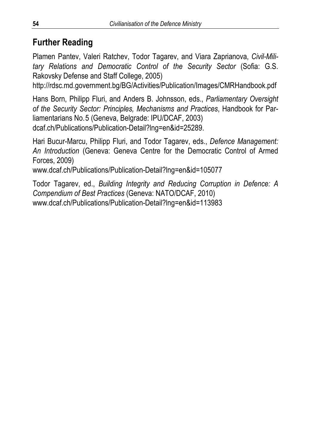## **Further Reading**

Plamen Pantev, Valeri Ratchev, Todor Tagarev, and Viara Zaprianova, *Civil-Military Relations and Democratic Control of the Security Sector* (Sofia: G.S. Rakovsky Defense and Staff College, 2005)

http://rdsc.md.government.bg/BG/Activities/Publication/Images/CMRHandbook.pdf

Hans Born, Philipp Fluri, and Anders B. Johnsson, eds., *Parliamentary Oversight of the Security Sector: Principles, Mechanisms and Practices*, Handbook for Parliamentarians No.5 (Geneva, Belgrade: IPU/DCAF, 2003) dcaf.ch/Publications/Publication-Detail?lng=en&id=25289.

Hari Bucur-Marcu, Philipp Fluri, and Todor Tagarev, eds., *Defence Management: An Introduction* (Geneva: Geneva Centre for the Democratic Control of Armed Forces, 2009)

```
www.dcaf.ch/Publications/Publication-Detail?lng=en&id=105077
```
Todor Tagarev, ed., *Building Integrity and Reducing Corruption in Defence: A Compendium of Best Practices* (Geneva: NATO/DCAF, 2010) www.dcaf.ch/Publications/Publication-Detail?lng=en&id=113983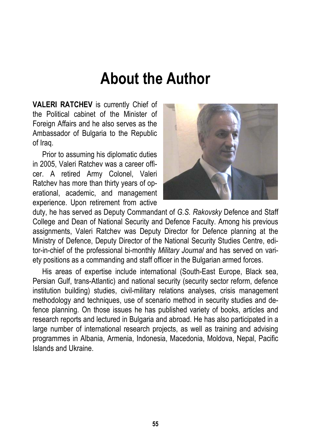## **About the Author**

**VALERI RATCHEV** is currently Chief of the Political cabinet of the Minister of Foreign Affairs and he also serves as the Ambassador of Bulgaria to the Republic of Iraq.

Prior to assuming his diplomatic duties in 2005, Valeri Ratchev was a career officer. A retired Army Colonel, Valeri Ratchev has more than thirty years of operational, academic, and management experience. Upon retirement from active



duty, he has served as Deputy Commandant of *G.S. Rakovsky* Defence and Staff College and Dean of National Security and Defence Faculty. Among his previous assignments, Valeri Ratchev was Deputy Director for Defence planning at the Ministry of Defence, Deputy Director of the National Security Studies Centre, editor-in-chief of the professional bi-monthly *Military Journal* and has served on variety positions as a commanding and staff officer in the Bulgarian armed forces.

His areas of expertise include international (South-East Europe, Black sea, Persian Gulf, trans-Atlantic) and national security (security sector reform, defence institution building) studies, civil-military relations analyses, crisis management methodology and techniques, use of scenario method in security studies and defence planning. On those issues he has published variety of books, articles and research reports and lectured in Bulgaria and abroad. He has also participated in a large number of international research projects, as well as training and advising programmes in Albania, Armenia, Indonesia, Macedonia, Moldova, Nepal, Pacific Islands and Ukraine.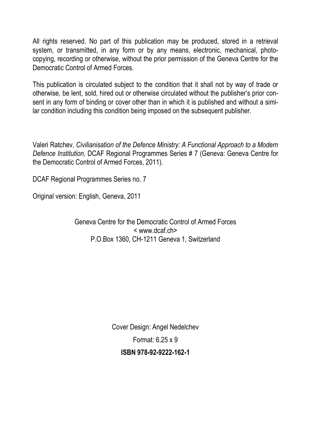All rights reserved. No part of this publication may be produced, stored in a retrieval system, or transmitted, in any form or by any means, electronic, mechanical, photocopying, recording or otherwise, without the prior permission of the Geneva Centre for the Democratic Control of Armed Forces.

This publication is circulated subject to the condition that it shall not by way of trade or otherwise, be lent, sold, hired out or otherwise circulated without the publisher's prior consent in any form of binding or cover other than in which it is published and without a similar condition including this condition being imposed on the subsequent publisher.

Valeri Ratchev, *Civilianisation of the Defence Ministry: A Functional Approach to a Modern Defence Institution*, DCAF Regional Programmes Series # 7 (Geneva: Geneva Centre for the Democratic Control of Armed Forces, 2011).

DCAF Regional Programmes Series no. 7

Original version: English, Geneva, 2011

Geneva Centre for the Democratic Control of Armed Forces < www.dcaf.ch> P.O.Box 1360, CH-1211 Geneva 1, Switzerland

> Cover Design: Angel Nedelchev Format: 6.25 x 9 **ISBN 978-92-9222-162-1**